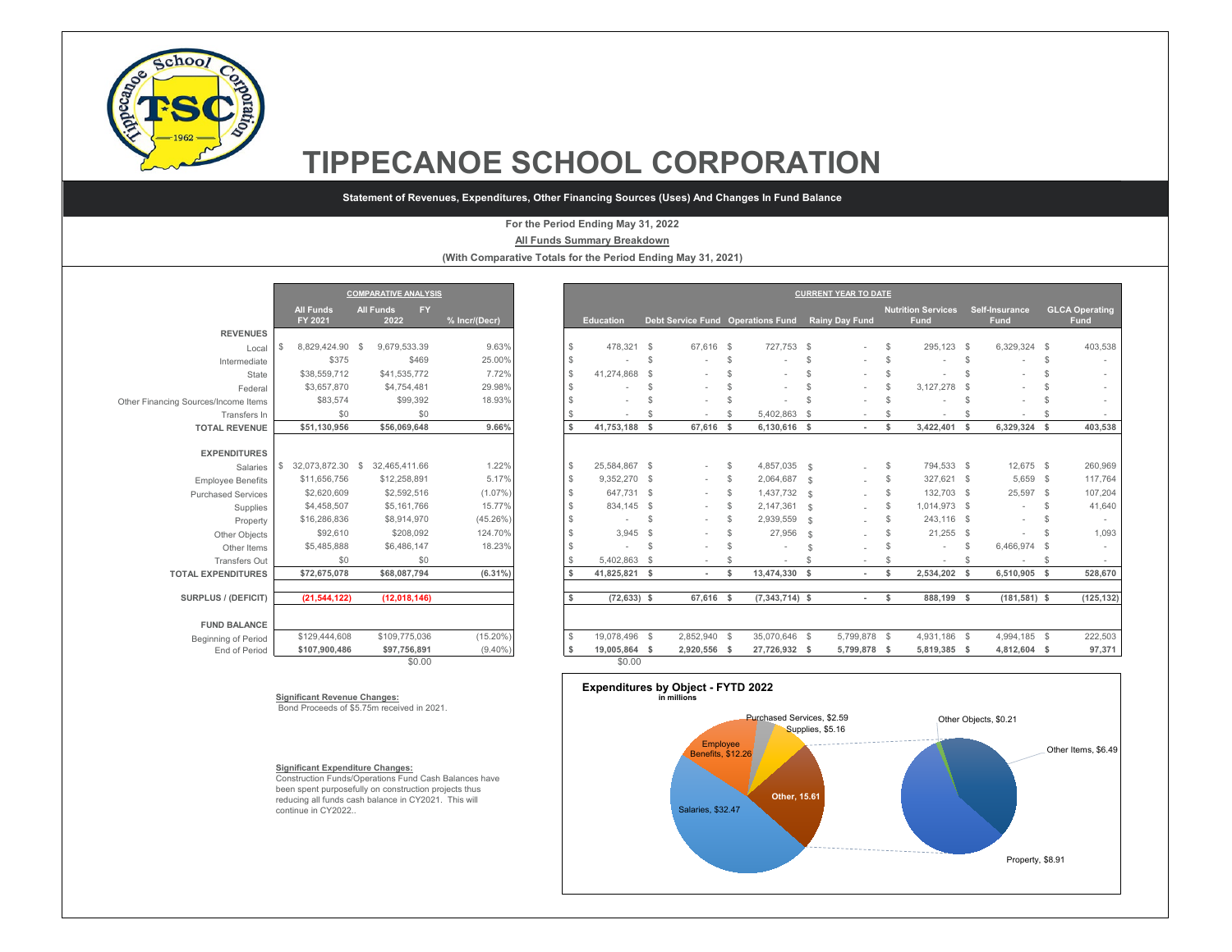

# **TIPPECANOE SCHOOL CORPORATION**

**Statement of Revenues, Expenditures, Other Financing Sources (Uses) And Changes In Fund Balance**

#### **For the Period Ending May 31, 2022 All Funds Summary Breakdown (With Comparative Totals for the Period Ending May 31, 2021)**

|                                      |                     | <b>COMPARATIVE ANALYSIS</b>   |               |
|--------------------------------------|---------------------|-------------------------------|---------------|
|                                      | <b>All Funds</b>    | <b>All Funds</b><br><b>FY</b> |               |
|                                      | FY 2021             | 2022                          | % Incr/(Decr) |
| <b>REVENUES</b>                      |                     |                               |               |
| Local                                | \$<br>8,829,424.90  | \$<br>9,679,533.39            | 9.63%         |
| Intermediate                         | \$375               | \$469                         | 25.00%        |
| State                                | \$38,559,712        | \$41,535,772                  | 7.72%         |
| Federal                              | \$3,657,870         | \$4.754.481                   | 29.98%        |
| Other Financing Sources/Income Items | \$83,574            | \$99.392                      | 18.93%        |
| Transfers In                         | \$0                 | \$0                           |               |
| <b>TOTAL REVENUE</b>                 | \$51,130,956        | \$56,069,648                  | 9.66%         |
| <b>EXPENDITURES</b>                  |                     |                               |               |
| Salaries                             | \$<br>32,073,872.30 | \$<br>32,465,411.66           | 1.22%         |
| <b>Employee Benefits</b>             | \$11,656,756        | \$12,258,891                  | 5.17%         |
| <b>Purchased Services</b>            | \$2,620,609         | \$2,592,516                   | $(1.07\%)$    |
| Supplies                             | \$4,458,507         | \$5,161,766                   | 15.77%        |
| Property                             | \$16,286,836        | \$8,914,970                   | (45.26%)      |
| Other Objects                        | \$92,610            | \$208.092                     | 124.70%       |
| Other Items                          | \$5,485,888         | \$6,486,147                   | 18.23%        |
| <b>Transfers Out</b>                 | \$0                 | \$0                           |               |
| <b>TOTAL EXPENDITURES</b>            | \$72,675,078        | \$68,087,794                  | $(6.31\%)$    |
| SURPLUS / (DEFICIT)                  | (21, 544, 122)      | (12,018,146)                  |               |
|                                      |                     |                               |               |
| <b>FUND BALANCE</b>                  |                     |                               |               |
| <b>Beginning of Period</b>           | \$129,444,608       | \$109,775,036                 | $(15.20\%)$   |
| End of Period                        | \$107,900,486       | \$97,756,891                  | $(9.40\%)$    |
|                                      |                     | \$0.00                        |               |

|                                      |                                  | <b>COMPARATIVE ANALYSIS</b>           |               |                |                  |                |                          |                |                                   |                | <b>CURRENT YEAR TO DATE</b> |                |                                   |          |                          |                |                               |
|--------------------------------------|----------------------------------|---------------------------------------|---------------|----------------|------------------|----------------|--------------------------|----------------|-----------------------------------|----------------|-----------------------------|----------------|-----------------------------------|----------|--------------------------|----------------|-------------------------------|
|                                      | <b>All Funds</b><br>FY 2021      | <b>All Funds</b><br><b>FY</b><br>2022 | % Incr/(Decr) |                | <b>Education</b> |                |                          |                | Debt Service Fund Operations Fund |                | <b>Rainy Day Fund</b>       |                | <b>Nutrition Services</b><br>Fund |          | Self-Insurance<br>Fund   |                | <b>GLCA Operating</b><br>Fund |
| <b>REVENUES</b>                      |                                  |                                       |               |                |                  |                |                          |                |                                   |                |                             |                |                                   |          |                          |                |                               |
| Local                                | 8.829.424.90 \$<br>\$.           | 9,679,533.39                          | 9.63%         | $\mathfrak{S}$ | 478,321 \$       |                | 67,616 \$                |                | 727,753 \$                        |                | $\overline{\phantom{a}}$    | -S             | 295,123 \$                        |          | 6,329,324 \$             |                | 403,538                       |
| Intermediate                         | \$375                            | \$469                                 | 25.00%        |                |                  | s.             |                          | \$             |                                   | S              | $\overline{\phantom{a}}$    | -S             | $\overline{\phantom{a}}$          | \$       |                          | \$             | $\sim$                        |
| State                                | \$38,559,712                     | \$41,535,772                          | 7.72%         |                | 41.274.868 \$    |                |                          |                | ٠                                 | $\mathfrak{L}$ | $\overline{a}$              |                |                                   |          | $\overline{a}$           | $\mathcal{S}$  | $\sim$                        |
| Federal                              | \$3,657,870                      | \$4,754,481                           | 29.98%        |                |                  | \$             |                          | \$             | $\overline{\phantom{a}}$          | \$             |                             | $\mathfrak{L}$ | 3.127.278                         | <b>S</b> | $\overline{a}$           |                |                               |
| Other Financing Sources/Income Items | \$83,574                         | \$99,392                              | 18.93%        |                |                  |                |                          | \$             |                                   |                |                             |                |                                   | \$       | $\overline{\phantom{a}}$ | $\mathcal{F}$  | $\sim$                        |
| Transfers In                         | \$0                              | \$0                                   |               |                |                  |                |                          | \$             | 5,402,863 \$                      |                | $\overline{\phantom{a}}$    |                | $\overline{\phantom{a}}$          | \$       | $\overline{a}$           | $\mathfrak{S}$ | $\sim$                        |
| <b>TOTAL REVENUE</b>                 | \$51,130,956                     | \$56,069,648                          | 9.66%         |                | 41,753,188 \$    |                | 67,616 \$                |                | 6,130,616 \$                      |                | $\overline{\phantom{a}}$    | \$             | 3,422,401 \$                      |          | 6,329,324 \$             |                | 403,538                       |
| <b>EXPENDITURES</b>                  |                                  |                                       |               |                |                  |                |                          |                |                                   |                |                             |                |                                   |          |                          |                |                               |
| Salaries                             | 32.073.872.30 \$<br>$\mathbb{S}$ | 32.465.411.66                         | 1.22%         | \$             | 25.584.867 \$    |                | $\sim$                   | - \$           | 4,857,035 \$                      |                | $\overline{\phantom{a}}$    | - \$           | 794.533 \$                        |          | 12.675 \$                |                | 260,969                       |
| <b>Employee Benefits</b>             | \$11,656,756                     | \$12,258,891                          | 5.17%         | $\mathfrak{L}$ | 9,352,270 \$     |                | $\sim$                   | -S             | 2,064,687 \$                      |                | $\overline{\phantom{a}}$    | S.             | 327,621 \$                        |          | $5,659$ \$               |                | 117,764                       |
| <b>Purchased Services</b>            | \$2,620,609                      | \$2,592,516                           | $(1.07\%)$    |                | 647.731 \$       |                | $\sim$                   | \$             | 1,437,732 \$                      |                |                             | - \$           | 132,703 \$                        |          | 25,597 \$                |                | 107,204                       |
| Supplies                             | \$4,458,507                      | \$5,161,766                           | 15.77%        |                | 834.145 \$       |                | $\overline{\phantom{a}}$ | -S             | 2,147,361 \$                      |                |                             | \$             | 1,014,973 \$                      |          | $\overline{\phantom{a}}$ | $\mathfrak{L}$ | 41,640                        |
| Property                             | \$16,286,836                     | \$8,914,970                           | $(45.26\%)$   |                |                  | $\mathfrak{L}$ | $\overline{\phantom{a}}$ | -S             | 2,939,559 \$                      |                |                             | - \$           | 243.116 \$                        |          | ٠                        | $\mathcal{S}$  |                               |
| Other Objects                        | \$92,610                         | \$208,092                             | 124.70%       |                | $3,945$ \$       |                |                          | \$             | 27,956                            | $\mathbb{S}$   |                             |                | $21,255$ \$                       |          |                          | $\mathcal{S}$  | 1,093                         |
| Other Items                          | \$5,485,888                      | \$6,486,147                           | 18.23%        |                |                  | \$             |                          |                | $\overline{\phantom{a}}$          |                |                             |                | $\sim$                            | \$       | 6,466,974 \$             |                |                               |
| Transfers Out                        | \$0                              | \$0                                   |               |                | 5,402,863 \$     |                |                          | $\mathfrak{S}$ | $\overline{a}$                    |                |                             |                |                                   | \$       |                          | \$             | $\sim$                        |
| <b>TOTAL EXPENDITURES</b>            | \$72,675,078                     | \$68,087,794                          | $(6.31\%)$    |                | 41,825,821 \$    |                | $\sim$                   | <b>S</b>       | 13,474,330 \$                     |                | $\overline{\phantom{a}}$    | $\mathbf{s}$   | 2,534,202 \$                      |          | 6,510,905 \$             |                | 528,670                       |
| SURPLUS / (DEFICIT)                  | (21, 544, 122)                   | (12,018,146)                          |               |                | $(72, 633)$ \$   |                | 67,616 \$                |                | $(7,343,714)$ \$                  |                | $\overline{\phantom{a}}$    | \$             | 888,199 \$                        |          | $(181, 581)$ \$          |                | (125, 132)                    |
| <b>FUND BALANCE</b>                  |                                  |                                       |               |                |                  |                |                          |                |                                   |                |                             |                |                                   |          |                          |                |                               |
| Beginning of Period                  | \$129,444,608                    | \$109,775,036                         | $(15.20\%)$   | $\mathfrak{S}$ | 19.078.496 \$    |                | 2,852,940 \$             |                | 35,070,646 \$                     |                | 5,799,878 \$                |                | 4,931,186 \$                      |          | 4.994.185 \$             |                | 222,503                       |
| End of Period                        | \$107.900.486                    | \$97,756,891                          | $(9.40\%)$    |                | 19,005,864 \$    |                | 2,920,556 \$             |                | 27,726,932 \$                     |                | 5,799,878 \$                |                | 5,819,385 \$                      |          | 4,812,604 \$             |                | 97,371                        |
|                                      |                                  | 0000                                  |               |                | 0000             |                |                          |                |                                   |                |                             |                |                                   |          |                          |                |                               |

**Significant Revenue Changes:**

Bond Proceeds of \$5.75m received in 2021.

#### **Significant Expenditure Changes:**

Construction Funds/Operations Fund Cash Balances have been spent purposefully on construction projects thus reducing all funds cash balance in CY2021. This will continue in CY2022..

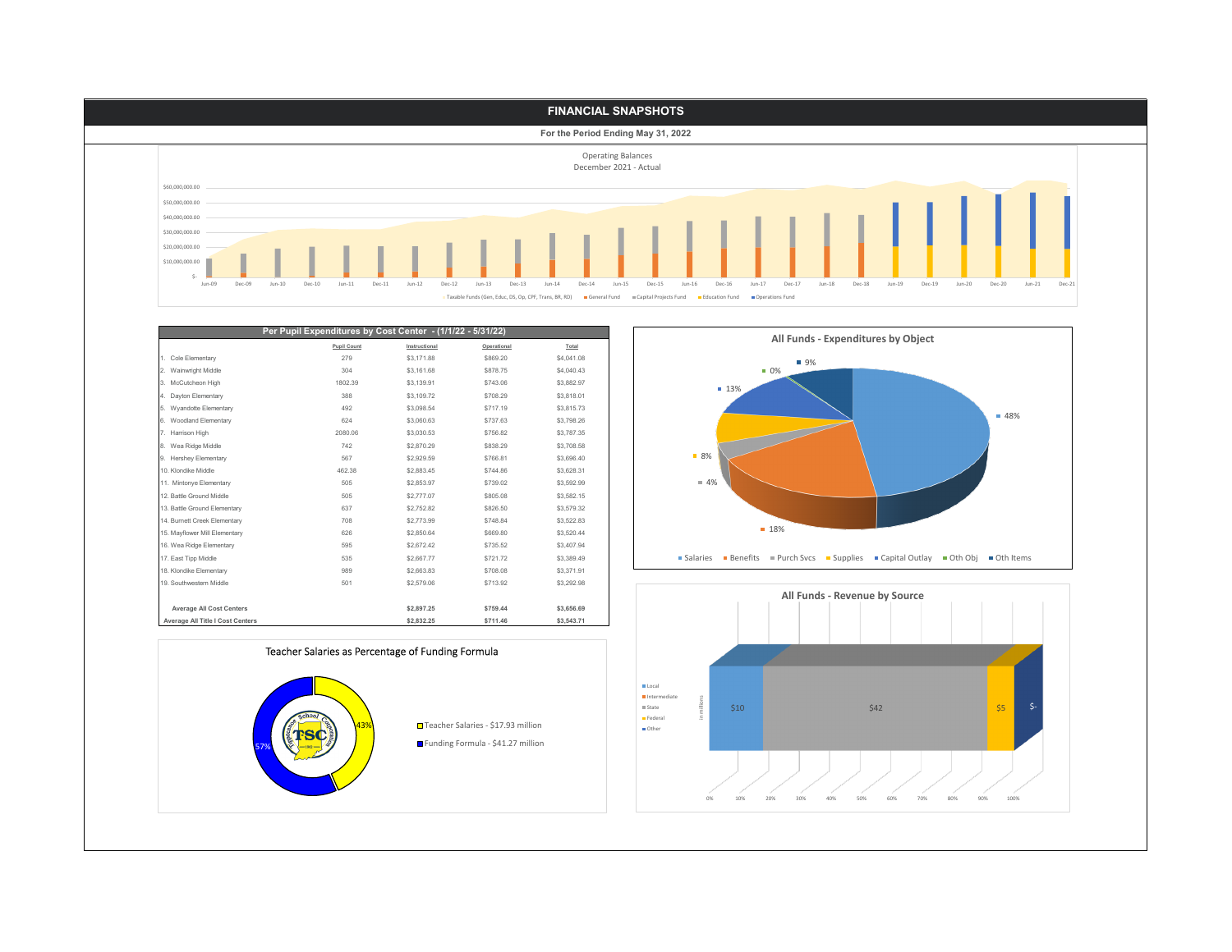

|                                  | Per Pupil Expenditures by Cost Center - (1/1/22 - 5/31/22) |               |             |            |
|----------------------------------|------------------------------------------------------------|---------------|-------------|------------|
|                                  | <b>Pupil Count</b>                                         | Instructional | Operational | Total      |
| 1. Cole Elementary               | 279                                                        | \$3,171.88    | \$869.20    | \$4.041.08 |
| 2. Wainwright Middle             | 304                                                        | \$3,161.68    | \$878.75    | \$4,040.43 |
| 3. McCutcheon High               | 1802.39                                                    | \$3,139.91    | \$743.06    | \$3,882.97 |
| 4. Dayton Elementary             | 388                                                        | \$3,109.72    | \$708.29    | \$3,818.01 |
| 5. Wyandotte Elementary          | 492                                                        | \$3,098.54    | \$717.19    | \$3,815.73 |
| 6. Woodland Elementary           | 624                                                        | \$3,060.63    | \$737.63    | \$3,798.26 |
| 7. Harrison High                 | 2080.06                                                    | \$3,030.53    | \$756.82    | \$3,787.35 |
| 8. Wea Ridge Middle              | 742                                                        | \$2,870.29    | \$838.29    | \$3,708.58 |
| 9. Hershey Elementary            | 567                                                        | \$2,929.59    | \$766.81    | \$3,696.40 |
| 10. Klondike Middle              | 462.38                                                     | \$2,883.45    | \$744.86    | \$3,628.31 |
| 11. Mintonye Elementary          | 505                                                        | \$2,853.97    | \$739.02    | \$3,592.99 |
| 12. Battle Ground Middle         | 505                                                        | \$2,777.07    | \$805.08    | \$3,582.15 |
| 13. Battle Ground Elementary     | 637                                                        | \$2,752.82    | \$826.50    | \$3,579.32 |
| 14. Burnett Creek Elementary     | 708                                                        | \$2,773.99    | \$748.84    | \$3,522.83 |
| 15. Mayflower Mill Elementary    | 626                                                        | \$2,850.64    | \$669.80    | \$3,520.44 |
| 16. Wea Ridge Elementary         | 595                                                        | \$2,672.42    | \$735.52    | \$3,407.94 |
| 17. East Tipp Middle             | 535                                                        | \$2,667.77    | \$721.72    | \$3,389.49 |
| 18. Klondike Elementary          | 989                                                        | \$2,663.83    | \$708.08    | \$3,371.91 |
| 19. Southwestern Middle          | 501                                                        | \$2,579.06    | \$713.92    | \$3,292.98 |
|                                  |                                                            |               |             |            |
| <b>Average All Cost Centers</b>  |                                                            | \$2,897.25    | \$759.44    | \$3,656.69 |
| Average All Title I Cost Centers |                                                            | \$2,832.25    | \$711.46    | \$3,543.71 |





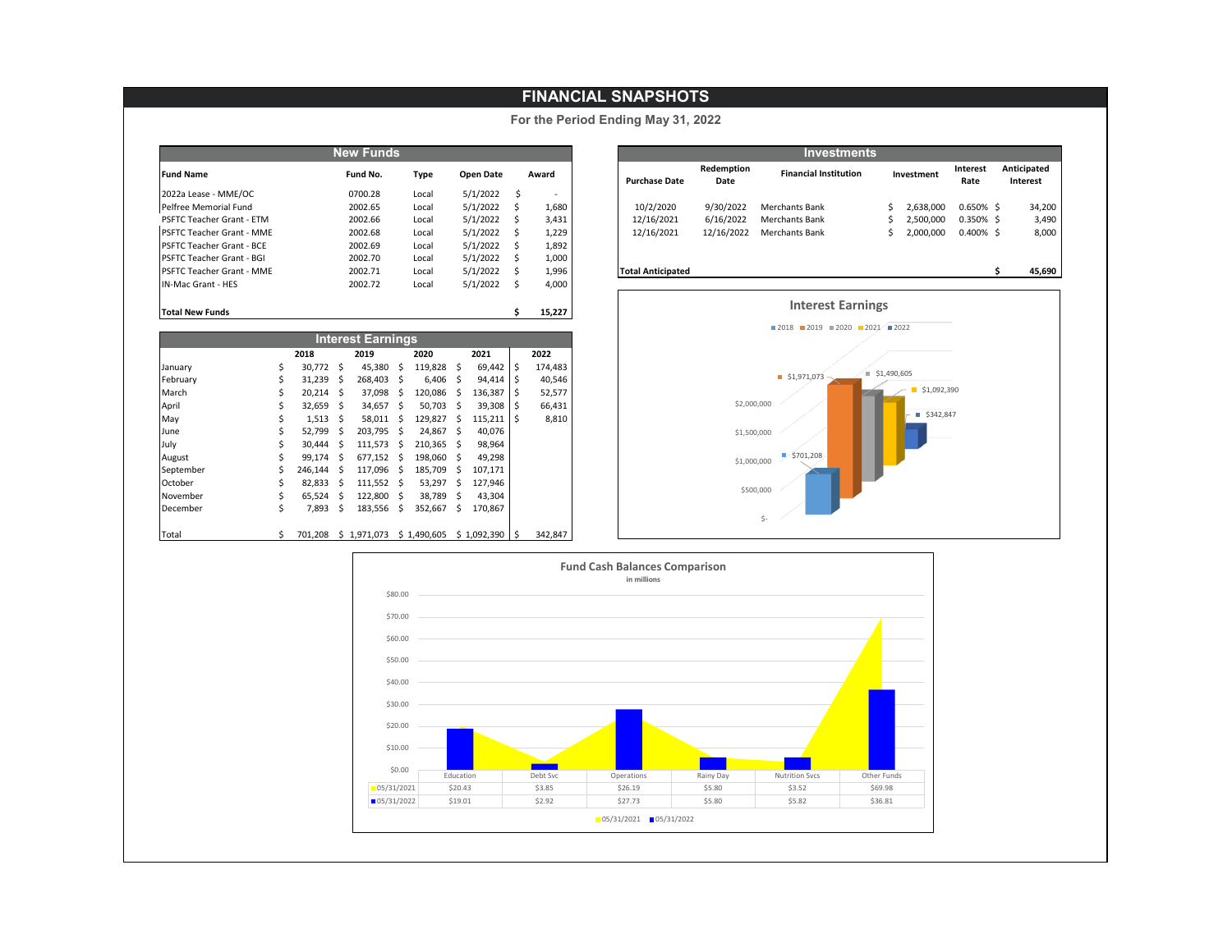# **FINANCIAL SNAPSHOTS**

| For the Period Ending May 31, 2022 |  |  |  |  |  |
|------------------------------------|--|--|--|--|--|
|------------------------------------|--|--|--|--|--|

|                                   | <b>New Funds</b> |       |           |   |                          |                          |                    | <b>Investments</b>           |            |                  |                         |
|-----------------------------------|------------------|-------|-----------|---|--------------------------|--------------------------|--------------------|------------------------------|------------|------------------|-------------------------|
| <b>Fund Name</b>                  | Fund No.         | Type  | Open Date |   | Award                    | <b>Purchase Date</b>     | Redemption<br>Date | <b>Financial Institution</b> | Investment | Interest<br>Rate | Anticipated<br>Interest |
| 2022a Lease - MME/OC              | 0700.28          | Local | 5/1/2022  | Ŝ | $\overline{\phantom{a}}$ |                          |                    |                              |            |                  |                         |
| Pelfree Memorial Fund             | 2002.65          | Local | 5/1/2022  |   | 1,680                    | 10/2/2020                | 9/30/2022          | <b>Merchants Bank</b>        | 2.638.000  | $0.650\%$ \$     | 34,200                  |
| <b>PSFTC Teacher Grant - ETM</b>  | 2002.66          | Local | 5/1/2022  |   | 3,431                    | 12/16/2021               | 6/16/2022          | <b>Merchants Bank</b>        | 2.500.000  | $0.350\%$ \$     | 3,490                   |
| <b>PSFTC Teacher Grant - MME</b>  | 2002.68          | Local | 5/1/2022  |   | 1,229                    | 12/16/2021               | 12/16/2022         | <b>Merchants Bank</b>        | 2,000,000  | $0.400\%$ \$     | 8,000                   |
| <b>PSFTC Teacher Grant - BCE</b>  | 2002.69          | Local | 5/1/2022  |   | 1,892                    |                          |                    |                              |            |                  |                         |
| <b>IPSFTC Teacher Grant - BGI</b> | 2002.70          | Local | 5/1/2022  |   | 1,000                    |                          |                    |                              |            |                  |                         |
| <b>IPSFTC Teacher Grant - MME</b> | 2002.71          | Local | 5/1/2022  |   | 1,996                    | <b>Total Anticipated</b> |                    |                              |            |                  | 45.690                  |
| <b>IN-Mac Grant - HES</b>         | 2002.72          | Local | 5/1/2022  |   | 4,000                    |                          |                    |                              |            |                  |                         |
| <b>Total New Funds</b>            |                  |       |           |   | 15,227                   |                          |                    | <b>Interest Earnings</b>     |            |                  |                         |

|           |               |     | <b>Interest Earnings</b> |    |             |     |             |    |         |
|-----------|---------------|-----|--------------------------|----|-------------|-----|-------------|----|---------|
|           | 2018          |     | 2019                     |    | 2020        |     | 2021        |    | 2022    |
| January   | \$<br>30,772  | Ś   | 45,380                   | Ś  | 119,828     | Ŝ.  | 69,442      | Ś  | 174,483 |
| February  | \$<br>31,239  | Ś   | 268.403                  | Ś. | 6.406       | Ś   | 94,414      | Ś  | 40,546  |
| March     | \$<br>20,214  | \$. | 37,098                   | Ś  | 120,086     | \$. | 136,387     | \$ | 52,577  |
| April     | \$<br>32.659  | Ś   | 34,657                   | Ś  | 50,703      | \$. | 39,308      | Ś  | 66,431  |
| May       | \$<br>1,513   | Ś   | 58,011                   | Ś  | 129,827     | \$. | 115,211     | Ś  | 8,810   |
| June      | \$<br>52.799  | Ś   | 203,795                  | Ś. | 24,867      | Ś   | 40,076      |    |         |
| July      | \$<br>30,444  | Ś   | 111,573                  | Ś  | 210,365     | Ś   | 98,964      |    |         |
| August    | \$<br>99.174  | Ś   | 677,152                  | Ś. | 198,060     | \$. | 49,298      |    |         |
| September | \$<br>246,144 | Ś   | 117,096                  | Ś  | 185,709     | \$. | 107,171     |    |         |
| October   | \$<br>82,833  | Ś   | 111,552                  | Ś. | 53,297      | \$. | 127,946     |    |         |
| November  | \$<br>65,524  | \$. | 122,800                  | Ś. | 38,789      | \$. | 43,304      |    |         |
| December  | \$<br>7,893   | Ś   | 183,556                  | \$ | 352,667     | \$  | 170,867     |    |         |
| Total     | \$<br>701.208 | \$. | 1,971,073                |    | \$1,490,605 |     | \$1.092.390 | \$ | 342,847 |

|                                  | <b>New Funds</b> |       |           |                          |                          |                    | <b>Investments</b>           |            |                  |                         |        |
|----------------------------------|------------------|-------|-----------|--------------------------|--------------------------|--------------------|------------------------------|------------|------------------|-------------------------|--------|
| <b>Fund Name</b>                 | Fund No.         | Type  | Open Date | Award                    | <b>Purchase Date</b>     | Redemption<br>Date | <b>Financial Institution</b> | Investment | Interest<br>Rate | Anticipated<br>Interest |        |
| 2022a Lease - MME/OC             | 0700.28          | Local | 5/1/2022  | $\overline{\phantom{a}}$ |                          |                    |                              |            |                  |                         |        |
| Pelfree Memorial Fund            | 2002.65          | Local | 5/1/2022  | 1,680                    | 10/2/2020                | 9/30/2022          | <b>Merchants Bank</b>        | 2.638.000  | $0.650\%$ \$     |                         | 34,200 |
| <b>PSFTC Teacher Grant - ETM</b> | 2002.66          | Local | 5/1/2022  | 3,431                    | 12/16/2021               | 6/16/2022          | Merchants Bank               | 2.500.000  | $0.350\%$ \$     |                         | 3,490  |
| PSFTC Teacher Grant - MME        | 2002.68          | Local | 5/1/2022  | 1,229                    | 12/16/2021               | 12/16/2022         | <b>Merchants Bank</b>        | 2.000.000  | $0.400\%$ \$     |                         | 8,000  |
| PSFTC Teacher Grant - BCE        | 2002.69          | Local | 5/1/2022  | 1,892                    |                          |                    |                              |            |                  |                         |        |
| PSFTC Teacher Grant - BGI        | 2002.70          | Local | 5/1/2022  | 1,000                    |                          |                    |                              |            |                  |                         |        |
| PSFTC Teacher Grant - MME        | 2002.71          | Local | 5/1/2022  | 1,996                    | <b>Total Anticipated</b> |                    |                              |            |                  |                         | 45,690 |



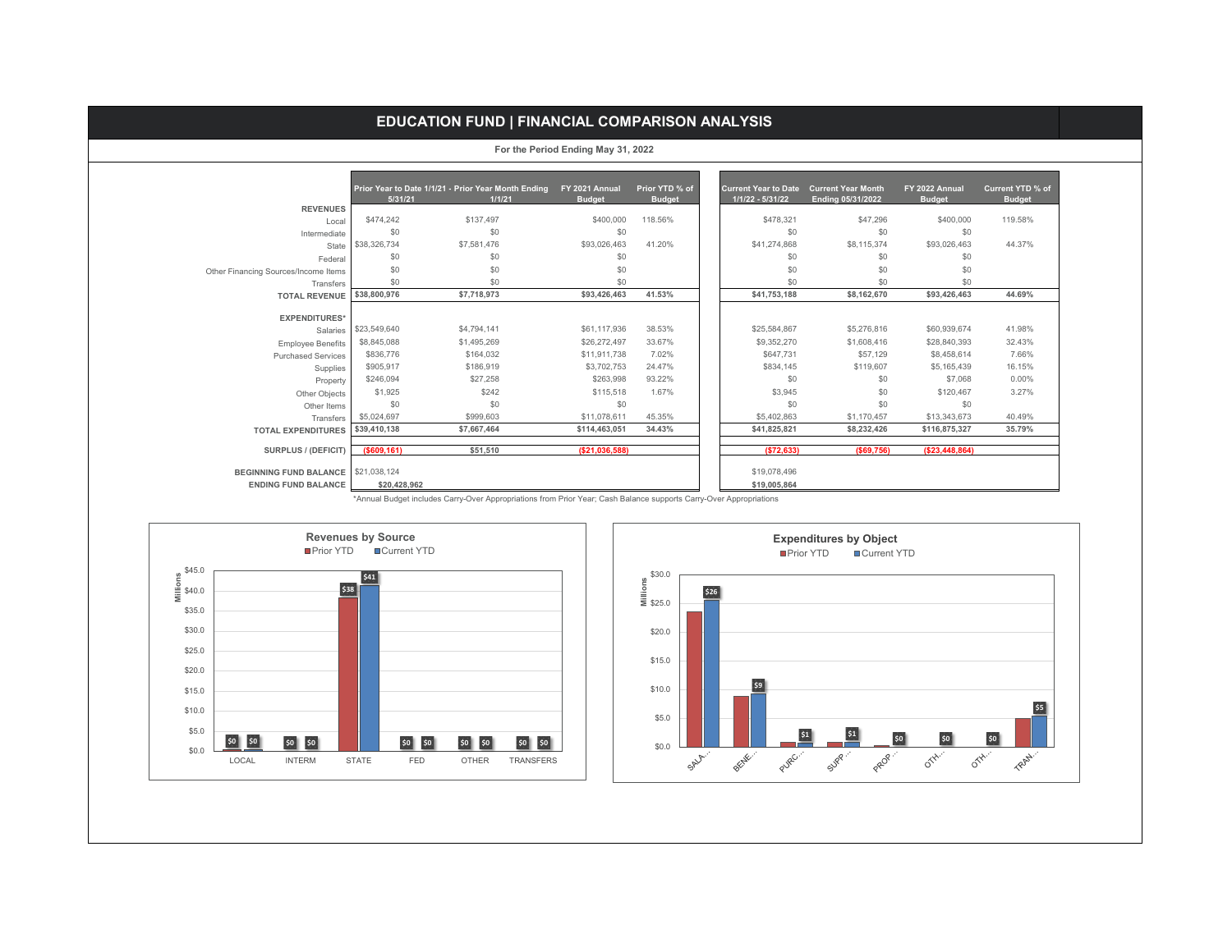## **EDUCATION FUND | FINANCIAL COMPARISON ANALYSIS**

**For the Period Ending May 31, 2022**

|                                      | 5/31/21        | Prior Year to Date 1/1/21 - Prior Year Month Ending<br>1/1/21 | FY 2021 Annual<br><b>Budget</b> | Prior YTD % of<br><b>Budget</b> | <b>Current Year to Date</b><br>1/1/22 - 5/31/22 | <b>Current Year Month</b><br>Ending 05/31/2022 | FY 2022 Annual<br><b>Budget</b> | Current YTD % of<br><b>Budget</b> |
|--------------------------------------|----------------|---------------------------------------------------------------|---------------------------------|---------------------------------|-------------------------------------------------|------------------------------------------------|---------------------------------|-----------------------------------|
| <b>REVENUES</b>                      |                |                                                               |                                 |                                 |                                                 |                                                |                                 |                                   |
| Local                                | \$474.242      | \$137,497                                                     | \$400,000                       | 118.56%                         | \$478,321                                       | \$47,296                                       | \$400,000                       | 119.58%                           |
| Intermediate                         | \$0            | \$0                                                           | \$0                             |                                 | \$0                                             | \$0                                            | \$0                             |                                   |
| State                                | \$38,326,734   | \$7,581,476                                                   | \$93,026,463                    | 41.20%                          | \$41,274,868                                    | \$8,115,374                                    | \$93,026,463                    | 44.37%                            |
| Federal                              | \$0            | \$0                                                           | \$0                             |                                 | \$0                                             | \$0                                            | \$0                             |                                   |
| Other Financing Sources/Income Items | \$0            | \$0                                                           | \$0                             |                                 | \$0                                             | \$0                                            | \$0                             |                                   |
| Transfers                            | \$0            | \$0                                                           | \$0                             |                                 | \$0                                             | \$0                                            | \$0                             |                                   |
| <b>TOTAL REVENUE</b>                 | \$38,800,976   | \$7,718,973                                                   | \$93,426,463                    | 41.53%                          | \$41,753,188                                    | \$8,162,670                                    | \$93,426,463                    | 44.69%                            |
|                                      |                |                                                               |                                 |                                 |                                                 |                                                |                                 |                                   |
| <b>EXPENDITURES*</b>                 |                |                                                               |                                 |                                 |                                                 |                                                |                                 |                                   |
| Salaries                             | \$23,549,640   | \$4,794,141                                                   | \$61,117,936                    | 38.53%                          | \$25,584,867                                    | \$5,276,816                                    | \$60,939,674                    | 41.98%                            |
| <b>Employee Benefits</b>             | \$8,845,088    | \$1,495,269                                                   | \$26,272,497                    | 33.67%                          | \$9,352,270                                     | \$1,608,416                                    | \$28,840,393                    | 32.43%                            |
| <b>Purchased Services</b>            | \$836,776      | \$164,032                                                     | \$11.911.738                    | 7.02%                           | \$647.731                                       | \$57,129                                       | \$8,458,614                     | 7.66%                             |
| Supplies                             | \$905.917      | \$186,919                                                     | \$3,702,753                     | 24.47%                          | \$834,145                                       | \$119,607                                      | \$5,165,439                     | 16.15%                            |
| Property                             | \$246.094      | \$27,258                                                      | \$263.998                       | 93.22%                          | \$0                                             | \$0                                            | \$7,068                         | 0.00%                             |
| Other Objects                        | \$1,925        | \$242                                                         | \$115,518                       | 1.67%                           | \$3,945                                         | \$0                                            | \$120,467                       | 3.27%                             |
| Other Items                          | \$0            | \$0                                                           | \$0                             |                                 | \$0                                             | \$0                                            | \$0                             |                                   |
| Transfers                            | \$5,024,697    | \$999,603                                                     | \$11.078.611                    | 45.35%                          | \$5,402,863                                     | \$1,170,457                                    | \$13,343,673                    | 40.49%                            |
| <b>TOTAL EXPENDITURES</b>            | \$39,410,138   | \$7,667,464                                                   | \$114,463,051                   | 34.43%                          | \$41,825,821                                    | \$8,232,426                                    | \$116,875,327                   | 35.79%                            |
| SURPLUS / (DEFICIT)                  | $($ \$609,161) | \$51,510                                                      | (\$21,036,588)                  |                                 | (\$72,633)                                      | ( \$69, 756)                                   | ( \$23,448,864)                 |                                   |
| <b>BEGINNING FUND BALANCE</b>        | \$21,038,124   |                                                               |                                 |                                 | \$19,078,496                                    |                                                |                                 |                                   |
| <b>ENDING FUND BALANCE</b>           | \$20,428,962   |                                                               |                                 |                                 | \$19,005.864                                    |                                                |                                 |                                   |



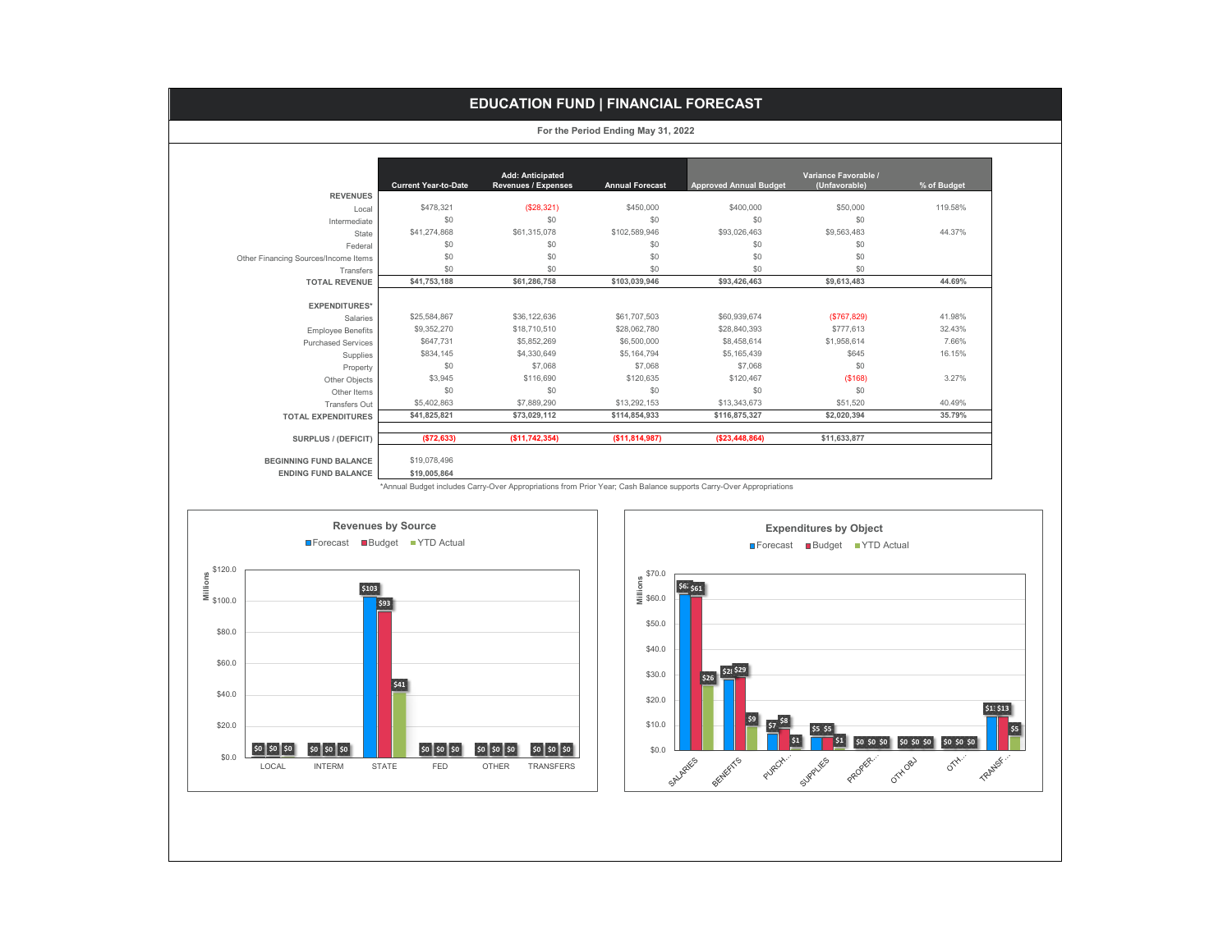# **EDUCATION FUND | FINANCIAL FORECAST**

**For the Period Ending May 31, 2022**

|                                                   |                             | <b>Add: Anticipated</b>    |                        |                               | Variance Favorable / |             |
|---------------------------------------------------|-----------------------------|----------------------------|------------------------|-------------------------------|----------------------|-------------|
|                                                   | <b>Current Year-to-Date</b> | <b>Revenues / Expenses</b> | <b>Annual Forecast</b> | <b>Approved Annual Budget</b> | (Unfavorable)        | % of Budget |
| <b>REVENUES</b>                                   |                             |                            |                        |                               |                      |             |
| Local                                             | \$478,321                   | (\$28,321)                 | \$450,000              | \$400,000                     | \$50,000             | 119.58%     |
| Intermediate                                      | \$0                         | \$0                        | \$0                    | \$0                           | \$0                  |             |
| State                                             | \$41,274,868                | \$61,315,078               | \$102.589.946          | \$93,026,463                  | \$9,563,483          | 44.37%      |
| Federal                                           | \$0                         | \$0                        | \$0                    | \$0                           | \$0                  |             |
| Other Financing Sources/Income Items              | \$0                         | \$0                        | \$0                    | \$0                           | \$0                  |             |
| Transfers                                         | \$0                         | \$0                        | \$0                    | \$0                           | \$0                  |             |
| <b>TOTAL REVENUE</b>                              | \$41,753,188                | \$61,286,758               | \$103,039,946          | \$93,426,463                  | \$9,613,483          | 44.69%      |
| <b>EXPENDITURES*</b>                              |                             |                            |                        |                               |                      |             |
| Salaries                                          | \$25,584.867                | \$36,122,636               | \$61,707,503           | \$60,939,674                  | (\$767,829)          | 41.98%      |
| <b>Employee Benefits</b>                          | \$9,352,270                 | \$18,710,510               | \$28,062,780           | \$28,840,393                  | \$777,613            | 32.43%      |
| <b>Purchased Services</b>                         | \$647.731                   | \$5,852,269                | \$6,500,000            | \$8,458,614                   | \$1,958.614          | 7.66%       |
| Supplies                                          | \$834,145                   | \$4,330,649                | \$5,164,794            | \$5,165,439                   | \$645                | 16.15%      |
|                                                   | \$0                         | \$7,068                    | \$7,068                | \$7,068                       | \$0                  |             |
| Property                                          | \$3.945                     | \$116,690                  | \$120,635              | \$120,467                     | (\$168)              | 3.27%       |
| Other Objects<br>Other Items                      | \$0                         | \$0                        | \$0                    | \$0                           | \$0                  |             |
|                                                   | \$5,402,863                 | \$7,889,290                | \$13,292,153           | \$13,343,673                  | \$51,520             | 40.49%      |
| <b>Transfers Out</b><br><b>TOTAL EXPENDITURES</b> | \$41,825,821                | \$73,029,112               | \$114,854,933          | \$116,875,327                 | \$2,020,394          | 35.79%      |
|                                                   |                             |                            |                        |                               |                      |             |
| SURPLUS / (DEFICIT)                               | ( \$72, 633)                | (\$11,742,354)             | (\$11,814,987)         | (\$23,448,864)                | \$11,633,877         |             |
| <b>BEGINNING FUND BALANCE</b>                     | \$19,078,496                |                            |                        |                               |                      |             |
| <b>ENDING FUND BALANCE</b>                        | \$19,005,864                |                            |                        |                               |                      |             |



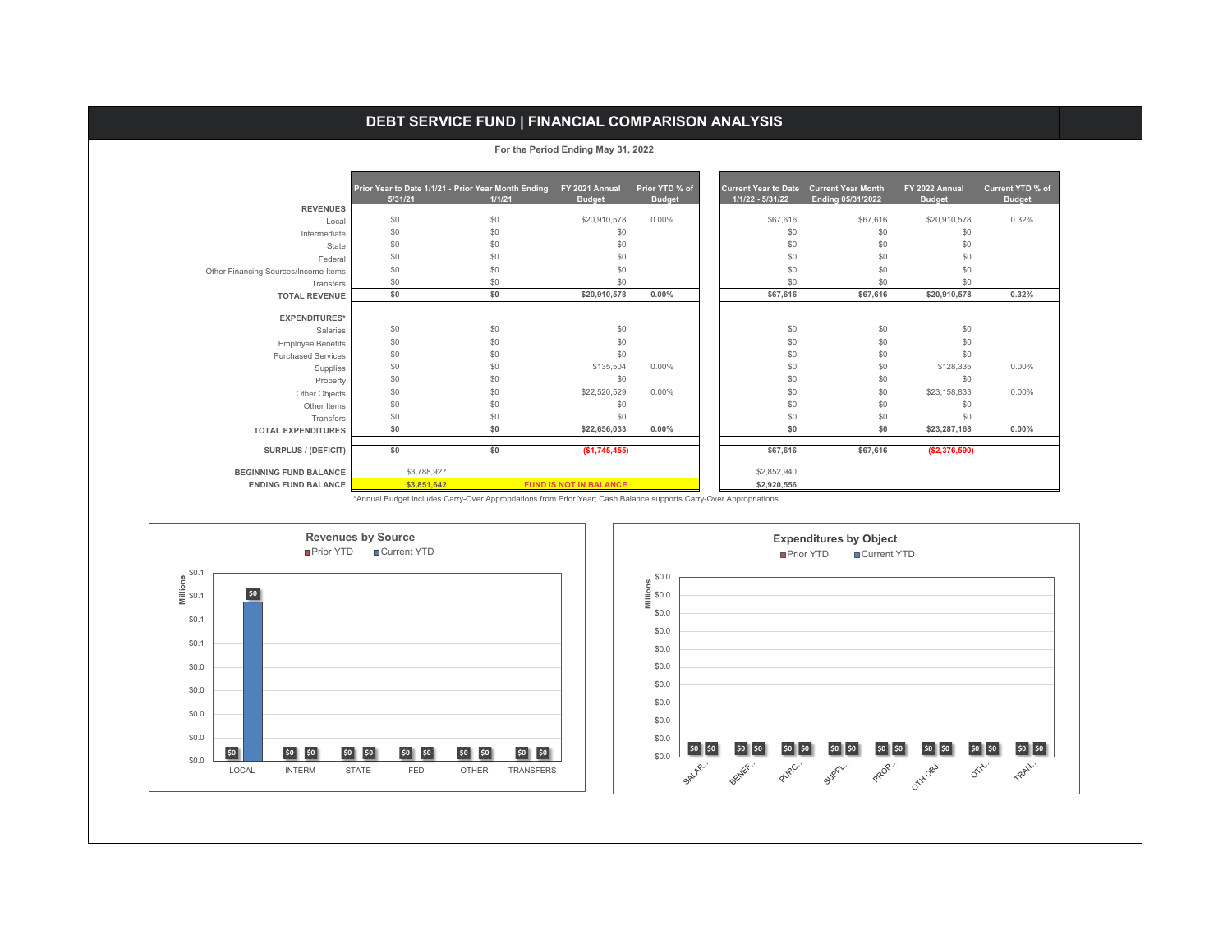## **DEBT SERVICE FUND | FINANCIAL COMPARISON ANALYSIS**

**For the Period Ending May 31, 2022**

|                                      | 5/31/21     | Prior Year to Date 1/1/21 - Prior Year Month Ending<br>1/1/21 | FY 2021 Annual<br><b>Budget</b> | Prior YTD % of<br><b>Budget</b> | <b>Current Year to Date</b><br>$1/1/22 - 5/31/22$ | <b>Current Year Month</b><br>Ending 05/31/2022 | FY 2022 Annual<br><b>Budget</b> | <b>Current YTD % of</b><br><b>Budget</b> |
|--------------------------------------|-------------|---------------------------------------------------------------|---------------------------------|---------------------------------|---------------------------------------------------|------------------------------------------------|---------------------------------|------------------------------------------|
| <b>REVENUES</b>                      |             |                                                               |                                 |                                 |                                                   |                                                |                                 |                                          |
| Local                                | \$0         | \$0                                                           | \$20,910,578                    | 0.00%                           | \$67,616                                          | \$67,616                                       | \$20,910,578                    | 0.32%                                    |
| Intermediate                         | \$0         | \$0                                                           | \$0                             |                                 | \$0                                               | \$0                                            | \$0                             |                                          |
| State                                | \$0         | \$0                                                           | \$0                             |                                 | \$0                                               | \$0                                            | \$0                             |                                          |
| Federal                              | \$0         | \$0                                                           | \$0                             |                                 | \$0                                               | \$0                                            | \$0                             |                                          |
| Other Financing Sources/Income Items | \$0         | \$0                                                           | \$0                             |                                 | \$0                                               | \$0                                            | \$0                             |                                          |
| Transfers                            | \$0         | \$0                                                           | \$0                             |                                 | \$0                                               | \$0                                            | \$0                             |                                          |
| <b>TOTAL REVENUE</b>                 | \$0         | \$0                                                           | \$20,910,578                    | $0.00\%$                        | \$67,616                                          | \$67,616                                       | \$20,910,578                    | 0.32%                                    |
| <b>EXPENDITURES*</b>                 |             |                                                               |                                 |                                 |                                                   |                                                |                                 |                                          |
| Salaries                             | \$0         | \$0                                                           | \$0                             |                                 | \$0                                               | \$0                                            | \$0                             |                                          |
| <b>Employee Benefits</b>             | \$0         | \$0                                                           | \$0                             |                                 | \$0                                               | \$0                                            | \$0                             |                                          |
| <b>Purchased Services</b>            | \$0         | \$0                                                           | \$0                             |                                 | \$0                                               | \$0                                            | \$0                             |                                          |
| Supplies                             | \$0         | \$0                                                           | \$135,504                       | 0.00%                           | \$0                                               | \$0                                            | \$128,335                       | $0.00\%$                                 |
| Property                             | \$0         | \$0                                                           | \$0                             |                                 | \$0                                               | \$0                                            | \$0                             |                                          |
| Other Objects                        | \$0         | \$0                                                           | \$22,520,529                    | $0.00\%$                        | \$0                                               | \$0                                            | \$23,158,833                    | $0.00\%$                                 |
| Other Items                          | \$0         | \$0                                                           | \$0                             |                                 | \$0                                               | \$0                                            | \$0                             |                                          |
| Transfers                            | \$0         | \$0                                                           | \$0                             |                                 | \$0                                               | \$0                                            | \$0                             |                                          |
| <b>TOTAL EXPENDITURES</b>            | \$0         | \$0                                                           | \$22,656,033                    | $0.00\%$                        | \$0                                               | \$0                                            | \$23,287,168                    | $0.00\%$                                 |
| SURPLUS / (DEFICIT)                  | \$0         | \$0                                                           | (\$1,745,455)                   |                                 | \$67,616                                          | \$67,616                                       | (\$2,376,590)                   |                                          |
| <b>BEGINNING FUND BALANCE</b>        | \$3,788,927 |                                                               |                                 |                                 | \$2,852,940                                       |                                                |                                 |                                          |
| <b>ENDING FUND BALANCE</b>           | \$3.851.642 |                                                               | <b>FUND IS NOT IN BALANCE</b>   |                                 | \$2,920,556                                       |                                                |                                 |                                          |



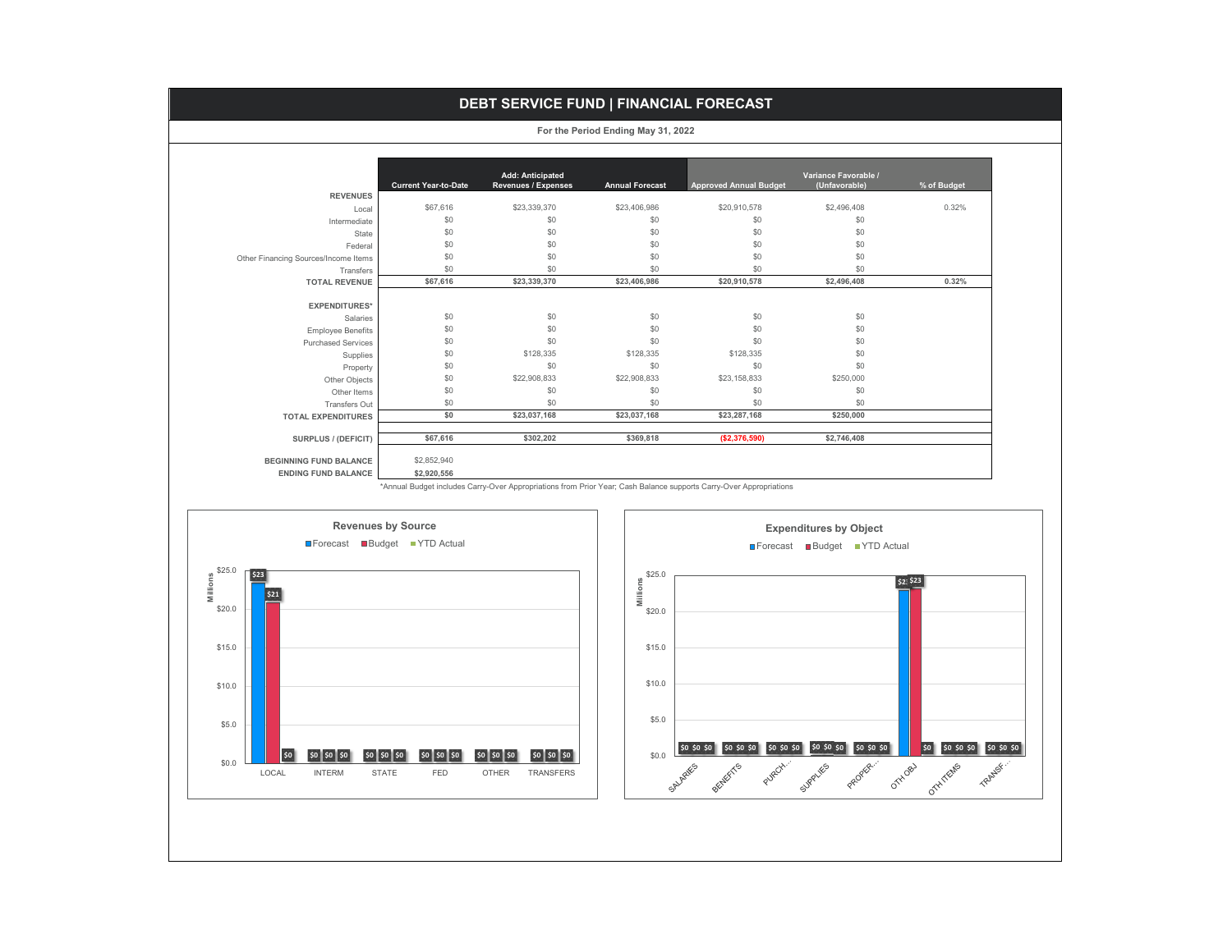#### **Current Year-to-Date Add: Anticipated Revenues / Expenses Annual Forecast Approved Annual Budget Variance Favorable / (Unfavorable) % of Budget REVENUES** Local \$67,616 \$23,339,370 \$23,406,986 \$20,910,578 \$2,496,408 \$20,910,578 Intermediate \$0 \$0 \$0 \$0 \$0 State \$0 \$0 \$0 \$0 \$0 Federal \$0 \$0 \$0 \$0 \$0 Other Financing Sources/Income Items \$0 \$0 \$0 \$0 \$0 Transfers \$0 \$0 \$0 \$0 \$0 **TOTAL REVENUE \$67,616 \$23,339,370 \$23,406,986 \$20,910,578 \$2,496,408 0.32% EXPENDITURES\*** Salaries \$0 \$0 \$0 \$0 \$0  $\frac{1}{2}$  Employee Benefits  $\frac{1}{2}$   $\frac{1}{2}$   $\frac{1}{2}$   $\frac{1}{2}$   $\frac{1}{2}$   $\frac{1}{2}$   $\frac{1}{2}$   $\frac{1}{2}$   $\frac{1}{2}$   $\frac{1}{2}$   $\frac{1}{2}$   $\frac{1}{2}$   $\frac{1}{2}$   $\frac{1}{2}$   $\frac{1}{2}$   $\frac{1}{2}$   $\frac{1}{2}$   $\frac{1}{2}$   $\frac{1}{2}$   $\frac$ Purchased Services \$0 \$0 \$0 \$0 \$0 \$0 \$0 \$0 \$0 \$0 \$0 \$0 \$128,335 \$128,335 \$128,335 \$128,335 \$128,335 \$128,335 \$0 Supplies \$0 \$128,335 \$128,335 \$128,335 \$0 Property \$0 \$0 \$0 \$0 \$0 Other Objects | \$0 \$22,908,833 \$22,908,833 \$22,908,833 \$23,158,833 \$23,158,833 \$250,000 Other Items \$0 \$0 \$0 \$0 \$0 Transfers Out \$0 \$0 \$0 \$0 \$0 **TOTAL EXPENDITURES \$0 \$23,037,168 \$23,037,168 \$23,287,168 \$250,000 SURPLUS / (DEFICIT) \$67,616 \$302,202 \$369,818 (\$2,376,590) \$2,746,408 BEGINNING FUND BALANCE** \$2,852,940 **ENDING FUND BALANCE \$2,920,556 DEBT SERVICE FUND | FINANCIAL FORECAST For the Period Ending May 31, 2022**

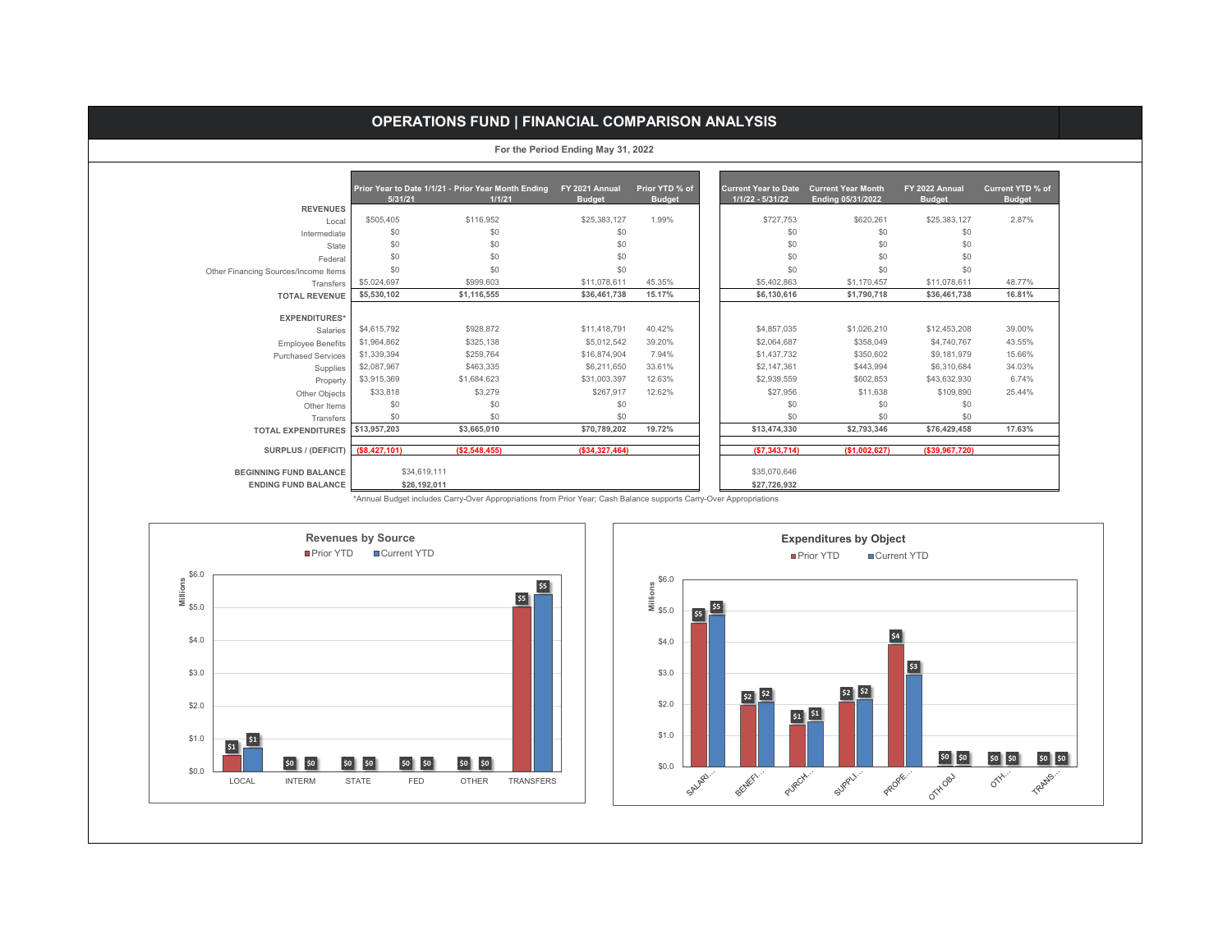# **OPERATIONS FUND | FINANCIAL COMPARISON ANALYSIS**

**For the Period Ending May 31, 2022**

|                                      |              | Prior Year to Date 1/1/21 - Prior Year Month Ending | FY 2021 Annual    | Prior YTD % of | <b>Current Year to Date</b> | <b>Current Year Month</b> | FY 2022 Annual    | Current YTD % of |
|--------------------------------------|--------------|-----------------------------------------------------|-------------------|----------------|-----------------------------|---------------------------|-------------------|------------------|
|                                      | 5/31/21      | 1/1/21                                              | <b>Budget</b>     | <b>Budget</b>  | 1/1/22 - 5/31/22            | Ending 05/31/2022         | <b>Budget</b>     | <b>Budget</b>    |
| <b>REVENUES</b>                      |              |                                                     |                   |                |                             |                           |                   |                  |
| Local                                | \$505,405    | \$116.952                                           | \$25,383,127      | 1.99%          | \$727,753                   | \$620,261                 | \$25,383,127      | 2.87%            |
| Intermediate                         | \$0          | \$0                                                 | \$0               |                | \$0                         | \$0                       | \$0               |                  |
| State                                | \$0          | \$0                                                 | \$0               |                | \$0                         | \$0                       | \$0               |                  |
| Federal                              | \$0          | \$0                                                 | \$0               |                | \$0                         | \$0                       | \$0               |                  |
| Other Financing Sources/Income Items | \$0          | \$0                                                 | \$0               |                | \$0                         | \$0                       | \$0               |                  |
| Transfers                            | \$5,024,697  | \$999,603                                           | \$11,078,611      | 45.35%         | \$5,402,863                 | \$1,170,457               | \$11,078,611      | 48.77%           |
| <b>TOTAL REVENUE</b>                 | \$5,530,102  | \$1,116,555                                         | \$36,461,738      | 15.17%         | \$6,130,616                 | \$1,790,718               | \$36,461,738      | 16.81%           |
|                                      |              |                                                     |                   |                |                             |                           |                   |                  |
| <b>EXPENDITURES*</b>                 |              |                                                     |                   |                |                             |                           |                   |                  |
| Salaries                             | \$4,615,792  | \$928,872                                           | \$11,418,791      | 40.42%         | \$4,857,035                 | \$1,026,210               | \$12,453,208      | 39.00%           |
| <b>Employee Benefits</b>             | \$1,964.862  | \$325,138                                           | \$5,012,542       | 39.20%         | \$2,064,687                 | \$358,049                 | \$4,740,767       | 43.55%           |
| <b>Purchased Services</b>            | \$1,339,394  | \$259,764                                           | \$16,874,904      | 7.94%          | \$1,437,732                 | \$350,602                 | \$9,181,979       | 15.66%           |
| Supplies                             | \$2,087,967  | \$463,335                                           | \$6,211,650       | 33.61%         | \$2,147,361                 | \$443,994                 | \$6,310,684       | 34.03%           |
| Property                             | \$3,915,369  | \$1,684,623                                         | \$31,003,397      | 12.63%         | \$2,939,559                 | \$602,853                 | \$43,632,930      | 6.74%            |
| Other Objects                        | \$33,818     | \$3,279                                             | \$267,917         | 12.62%         | \$27,956                    | \$11,638                  | \$109,890         | 25.44%           |
| Other Items                          | \$0          | \$0                                                 | \$0               |                | \$0                         | \$0                       | \$0               |                  |
| Transfers                            | \$0          | \$0                                                 | \$0               |                | \$0                         | \$0                       | \$0               |                  |
| TOTAL EXPENDITURES \$13,957,203      |              | \$3,665,010                                         | \$70,789,202      | 19.72%         | \$13,474,330                | \$2,793,346               | \$76,429,458      | 17.63%           |
| SURPLUS / (DEFICIT) (\$8,427,101)    |              | (\$2,548,455)                                       | ( \$34, 327, 464) |                | (\$7,343,714)               | (\$1,002,627)             | $($ \$39,967,720) |                  |
| <b>BEGINNING FUND BALANCE</b>        | \$34,619,111 |                                                     |                   |                | \$35,070,646                |                           |                   |                  |
| <b>ENDING FUND BALANCE</b>           | \$26.192.011 |                                                     |                   |                | \$27,726,932                |                           |                   |                  |



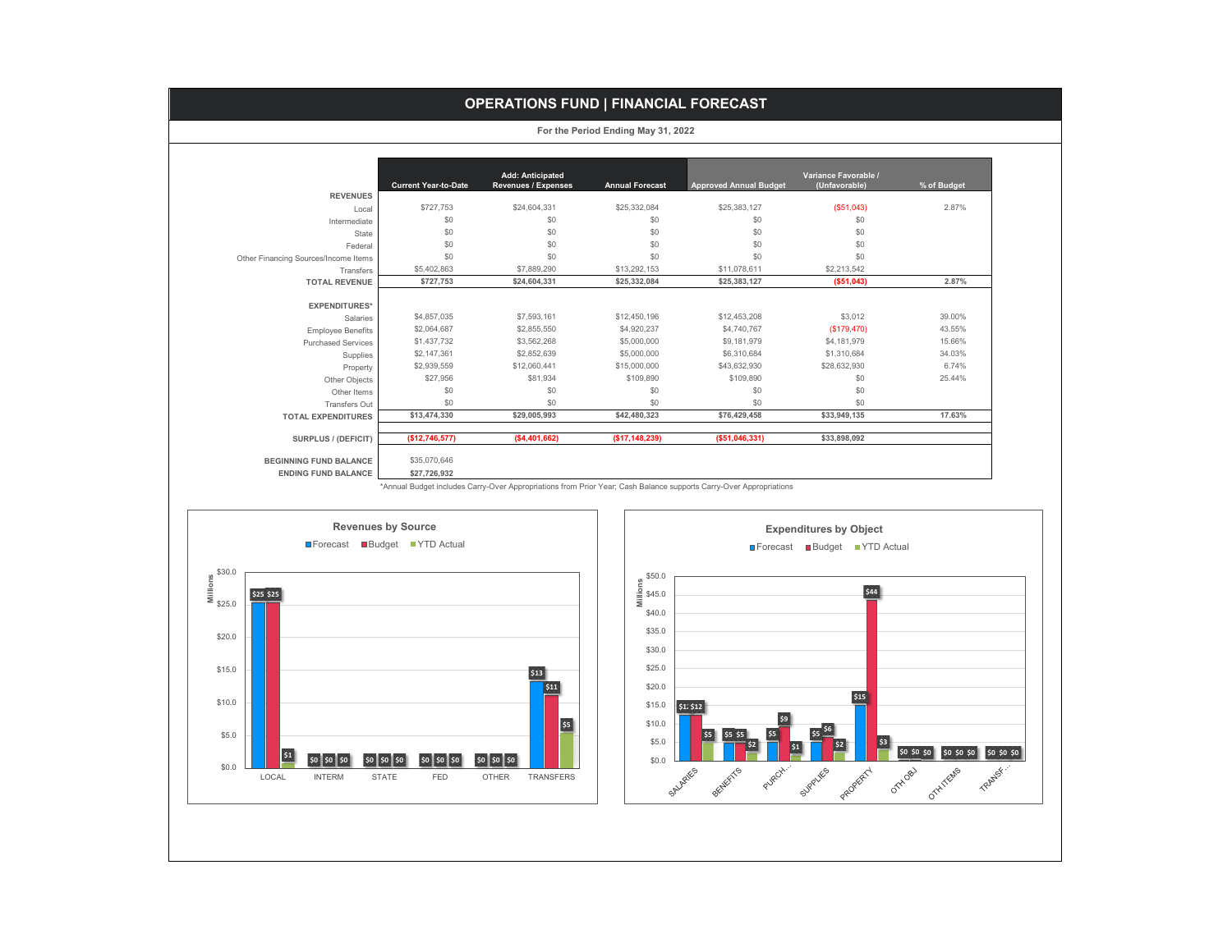## **OPERATIONS FUND | FINANCIAL FORECAST**

#### **For the Period Ending May 31, 2022**

|                                      | <b>Current Year-to-Date</b> | <b>Add: Anticipated</b><br><b>Revenues / Expenses</b> | <b>Annual Forecast</b> | <b>Approved Annual Budget</b> | Variance Favorable /<br>(Unfavorable) | % of Budget |
|--------------------------------------|-----------------------------|-------------------------------------------------------|------------------------|-------------------------------|---------------------------------------|-------------|
| <b>REVENUES</b>                      |                             |                                                       |                        |                               |                                       |             |
| Local                                | \$727,753                   | \$24,604.331                                          | \$25,332,084           | \$25,383,127                  | ( \$51,043)                           | 2.87%       |
| Intermediate                         | \$0                         | \$0                                                   | \$0                    | \$0                           | \$0                                   |             |
| State                                | \$0                         | \$0                                                   | \$0                    | \$0                           | \$0                                   |             |
| Federal                              | \$0                         | \$0                                                   | \$0                    | \$0                           | \$0                                   |             |
| Other Financing Sources/Income Items | \$0                         | \$0                                                   | \$0                    | \$0                           | \$0                                   |             |
| Transfers                            | \$5,402,863                 | \$7,889,290                                           | \$13,292,153           | \$11,078,611                  | \$2,213,542                           |             |
| <b>TOTAL REVENUE</b>                 | \$727,753                   | \$24,604,331                                          | \$25,332,084           | \$25,383,127                  | ( \$51,043)                           | 2.87%       |
| <b>EXPENDITURES*</b><br>Salaries     | \$4,857,035                 | \$7,593,161                                           | \$12,450,196           | \$12,453,208                  | \$3,012                               | 39.00%      |
| <b>Employee Benefits</b>             | \$2,064.687                 | \$2,855,550                                           | \$4,920,237            | \$4,740,767                   | (\$179,470)                           | 43.55%      |
| <b>Purchased Services</b>            | \$1,437,732                 | \$3,562,268                                           | \$5,000,000            | \$9,181,979                   | \$4,181,979                           | 15.66%      |
| Supplies                             | \$2,147,361                 | \$2,852,639                                           | \$5,000,000            | \$6,310,684                   | \$1,310,684                           | 34.03%      |
| Property                             | \$2,939.559                 | \$12,060,441                                          | \$15,000,000           | \$43,632,930                  | \$28,632,930                          | 6.74%       |
| Other Objects                        | \$27,956                    | \$81,934                                              | \$109,890              | \$109,890                     | \$0                                   | 25.44%      |
| Other Items                          | \$0                         | \$0                                                   | \$0                    | \$0                           | \$0                                   |             |
| <b>Transfers Out</b>                 | \$0                         | \$0                                                   | \$0                    | \$0                           | \$0                                   |             |
| <b>TOTAL EXPENDITURES</b>            | \$13,474,330                | \$29,005,993                                          | \$42,480,323           | \$76,429,458                  | \$33,949,135                          | 17.63%      |
| SURPLUS / (DEFICIT)                  | (\$12,746,577)              | (\$4,401,662)                                         | (\$17,148,239)         | ( \$51,046,331)               | \$33,898,092                          |             |
| <b>BEGINNING FUND BALANCE</b>        | \$35,070,646                |                                                       |                        |                               |                                       |             |
| <b>ENDING FUND BALANCE</b>           | \$27,726,932                |                                                       |                        |                               |                                       |             |



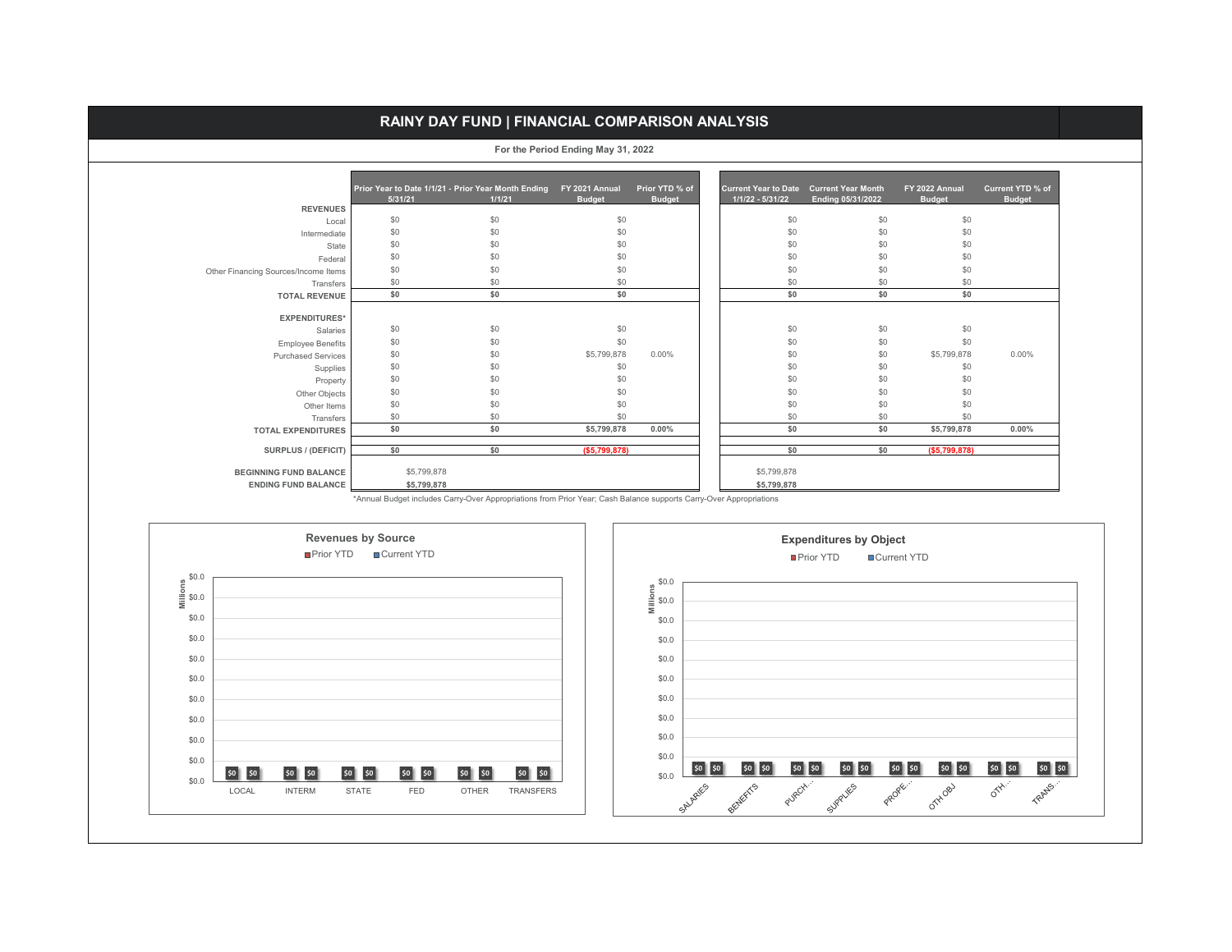## **RAINY DAY FUND | FINANCIAL COMPARISON ANALYSIS**

**For the Period Ending May 31, 2022**

|                                      |             | Prior Year to Date 1/1/21 - Prior Year Month Ending<br>1/1/21 | FY 2021 Annual<br><b>Budget</b> | Prior YTD % of<br><b>Budget</b> | <b>Current Year to Date</b> | <b>Current Year Month</b> | FY 2022 Annual<br><b>Budget</b> | Current YTD % of<br><b>Budget</b> |
|--------------------------------------|-------------|---------------------------------------------------------------|---------------------------------|---------------------------------|-----------------------------|---------------------------|---------------------------------|-----------------------------------|
| <b>REVENUES</b>                      | 5/31/21     |                                                               |                                 |                                 | 1/1/22 - 5/31/22            | Ending 05/31/2022         |                                 |                                   |
| Local                                | \$0         | \$0                                                           | \$0                             |                                 | \$0                         | \$0                       | \$0                             |                                   |
| Intermediate                         | \$0         | \$0                                                           | \$0                             |                                 | \$0                         | \$0                       | \$0                             |                                   |
| State                                | \$0         | \$0                                                           | \$0                             |                                 | \$0                         | \$0                       | \$0                             |                                   |
| Federal                              | \$0         | \$0                                                           | \$0                             |                                 | \$0                         | \$0                       | \$0                             |                                   |
| Other Financing Sources/Income Items | \$0         | \$0                                                           | \$0                             |                                 | \$0                         | \$0                       | \$0                             |                                   |
| Transfers                            | \$0         | \$0                                                           | \$0                             |                                 | \$0                         | \$0                       | \$0                             |                                   |
| <b>TOTAL REVENUE</b>                 | \$0         | \$0                                                           | \$0                             |                                 | \$0                         | \$0                       | \$0                             |                                   |
|                                      |             |                                                               |                                 |                                 |                             |                           |                                 |                                   |
| <b>EXPENDITURES*</b>                 |             |                                                               |                                 |                                 |                             |                           |                                 |                                   |
| Salaries                             | \$0         | \$0                                                           | \$0                             |                                 | \$0                         | \$0                       | \$0                             |                                   |
| <b>Employee Benefits</b>             | \$0         | \$0                                                           | \$0                             |                                 | \$0                         | \$0                       | \$0                             |                                   |
| <b>Purchased Services</b>            | \$0         | \$0                                                           | \$5,799,878                     | $0.00\%$                        | \$0                         | \$0                       | \$5,799,878                     | $0.00\%$                          |
| Supplies                             | \$0         | \$0                                                           | \$0                             |                                 | \$0                         | \$0                       | \$0                             |                                   |
| Property                             | \$0         | \$0                                                           | \$0                             |                                 | \$0                         | \$0                       | \$0                             |                                   |
| Other Objects                        | \$0         | \$0                                                           | \$0                             |                                 | \$0                         | \$0                       | \$0                             |                                   |
| Other Items                          | \$0         | \$0                                                           | \$0                             |                                 | \$0                         | \$0                       | \$0                             |                                   |
| Transfers                            | \$0         | \$0                                                           | \$0                             |                                 | \$0                         | \$0                       | \$0                             |                                   |
| <b>TOTAL EXPENDITURES</b>            | \$0         | \$0                                                           | \$5,799,878                     | $0.00\%$                        | \$0                         | \$0                       | \$5,799,878                     | $0.00\%$                          |
| SURPLUS / (DEFICIT)                  | \$0         | \$0                                                           | ( \$5,799,878)                  |                                 | \$0                         | \$0                       | ( \$5,799,878)                  |                                   |
| <b>BEGINNING FUND BALANCE</b>        | \$5,799,878 |                                                               |                                 |                                 | \$5,799,878                 |                           |                                 |                                   |
| <b>ENDING FUND BALANCE</b>           | \$5,799,878 |                                                               |                                 |                                 | \$5,799,878                 |                           |                                 |                                   |



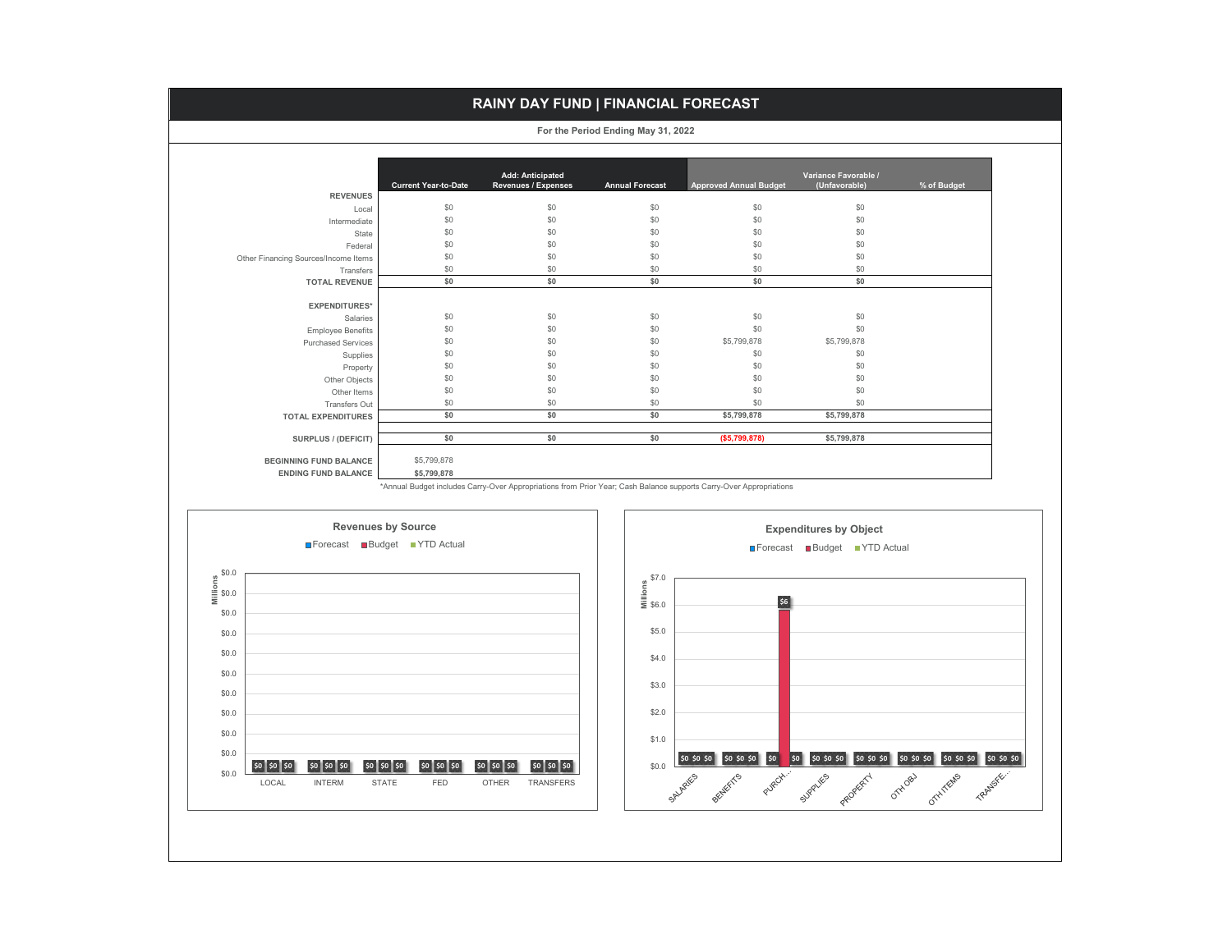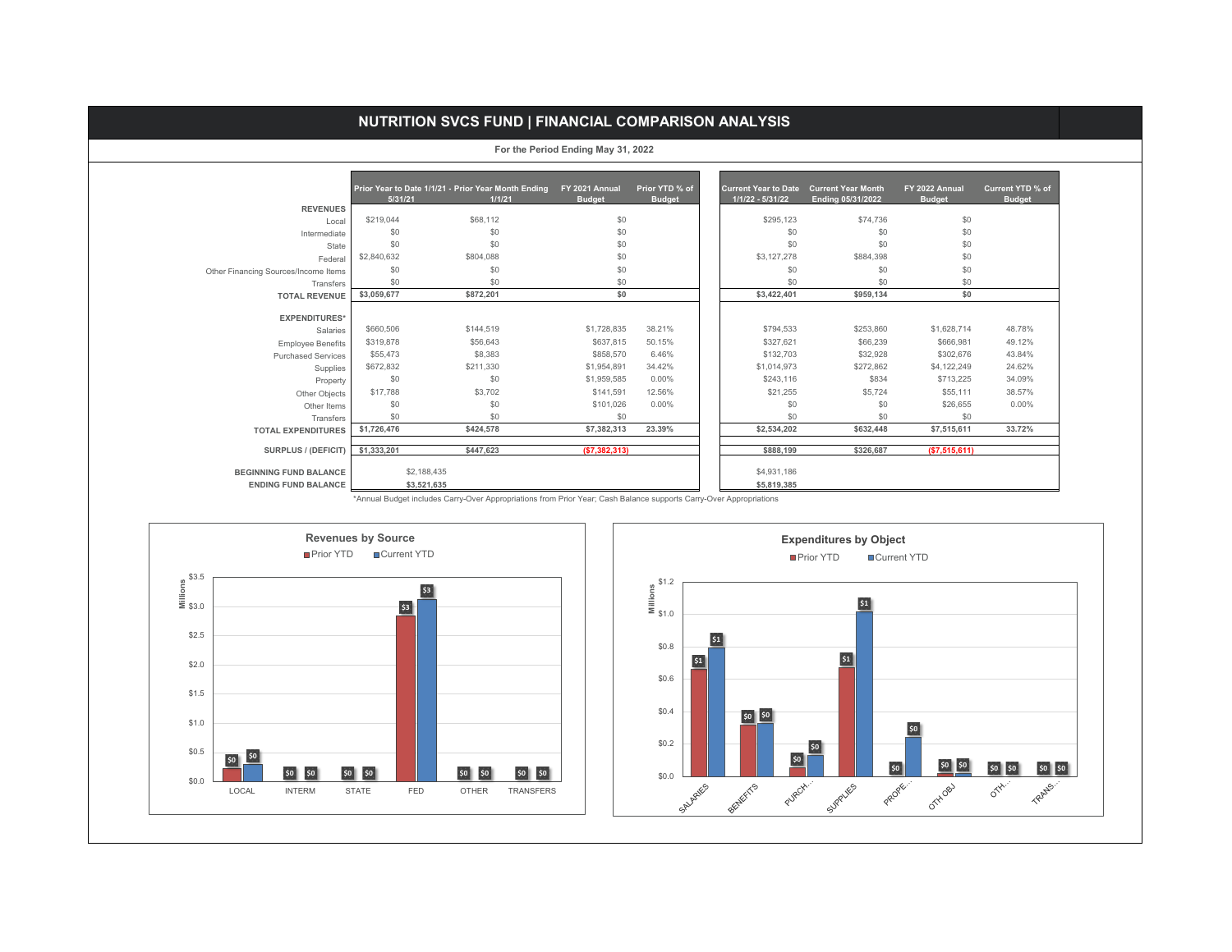## **NUTRITION SVCS FUND | FINANCIAL COMPARISON ANALYSIS**

**For the Period Ending May 31, 2022**

|                                      | 5/31/21     | Prior Year to Date 1/1/21 - Prior Year Month Ending<br>1/1/21 | FY 2021 Annual<br><b>Budget</b> | Prior YTD % of<br><b>Budget</b> | <b>Current Year to Date</b><br>1/1/22 - 5/31/22 | <b>Current Year Month</b><br>Ending 05/31/2022 | FY 2022 Annual<br><b>Budget</b> | Current YTD % of<br><b>Budget</b> |
|--------------------------------------|-------------|---------------------------------------------------------------|---------------------------------|---------------------------------|-------------------------------------------------|------------------------------------------------|---------------------------------|-----------------------------------|
| <b>REVENUES</b>                      |             |                                                               |                                 |                                 |                                                 |                                                |                                 |                                   |
| Local                                | \$219,044   | \$68,112                                                      | \$0                             |                                 | \$295,123                                       | \$74,736                                       | \$0                             |                                   |
| Intermediate                         | \$0         | \$0                                                           | \$0                             |                                 | \$0                                             | \$0                                            | \$0                             |                                   |
| State                                | \$0         | \$0                                                           | \$0                             |                                 | \$0                                             | \$0                                            | \$0                             |                                   |
| Federal                              | \$2,840,632 | \$804,088                                                     | \$0                             |                                 | \$3,127,278                                     | \$884,398                                      | \$0                             |                                   |
| Other Financing Sources/Income Items | \$0         | \$0                                                           | \$0                             |                                 | \$0                                             | \$0                                            | \$0                             |                                   |
| Transfers                            | \$0         | \$0                                                           | \$0                             |                                 | \$0                                             | \$0                                            | \$0                             |                                   |
| <b>TOTAL REVENUE</b>                 | \$3,059,677 | \$872,201                                                     | \$0                             |                                 | \$3,422,401                                     | \$959,134                                      | \$0                             |                                   |
| <b>EXPENDITURES*</b>                 |             |                                                               |                                 |                                 |                                                 |                                                |                                 |                                   |
| Salaries                             | \$660,506   | \$144,519                                                     | \$1,728,835                     | 38.21%                          | \$794.533                                       | \$253,860                                      | \$1,628,714                     | 48.78%                            |
| <b>Employee Benefits</b>             | \$319,878   | \$56,643                                                      | \$637,815                       | 50.15%                          | \$327.621                                       | \$66,239                                       | \$666.981                       | 49.12%                            |
| <b>Purchased Services</b>            | \$55,473    | \$8,383                                                       | \$858,570                       | 6.46%                           | \$132,703                                       | \$32,928                                       | \$302,676                       | 43.84%                            |
| Supplies                             | \$672,832   | \$211,330                                                     | \$1,954,891                     | 34.42%                          | \$1,014,973                                     | \$272,862                                      | \$4,122,249                     | 24.62%                            |
| Property                             | \$0         | \$0                                                           | \$1,959,585                     | $0.00\%$                        | \$243,116                                       | \$834                                          | \$713,225                       | 34.09%                            |
| Other Objects                        | \$17,788    | \$3,702                                                       | \$141.591                       | 12.56%                          | \$21,255                                        | \$5,724                                        | \$55,111                        | 38.57%                            |
| Other Items                          | \$0         | \$0                                                           | \$101,026                       | $0.00\%$                        | \$0                                             | \$0                                            | \$26,655                        | $0.00\%$                          |
| Transfers                            | \$0         | \$0                                                           | \$0                             |                                 | \$0                                             | \$0                                            | \$0                             |                                   |
| <b>TOTAL EXPENDITURES</b>            | \$1,726,476 | \$424,578                                                     | \$7,382,313                     | 23.39%                          | \$2,534,202                                     | \$632,448                                      | \$7,515,611                     | 33.72%                            |
| SURPLUS / (DEFICIT)                  | \$1,333,201 | \$447,623                                                     | ( \$7,382,313)                  |                                 | \$888,199                                       | \$326,687                                      | ( \$7,515,611)                  |                                   |
| <b>BEGINNING FUND BALANCE</b>        | \$2,188,435 |                                                               |                                 |                                 | \$4,931,186                                     |                                                |                                 |                                   |
| <b>ENDING FUND BALANCE</b>           | \$3,521,635 |                                                               |                                 |                                 | \$5,819,385                                     |                                                |                                 |                                   |



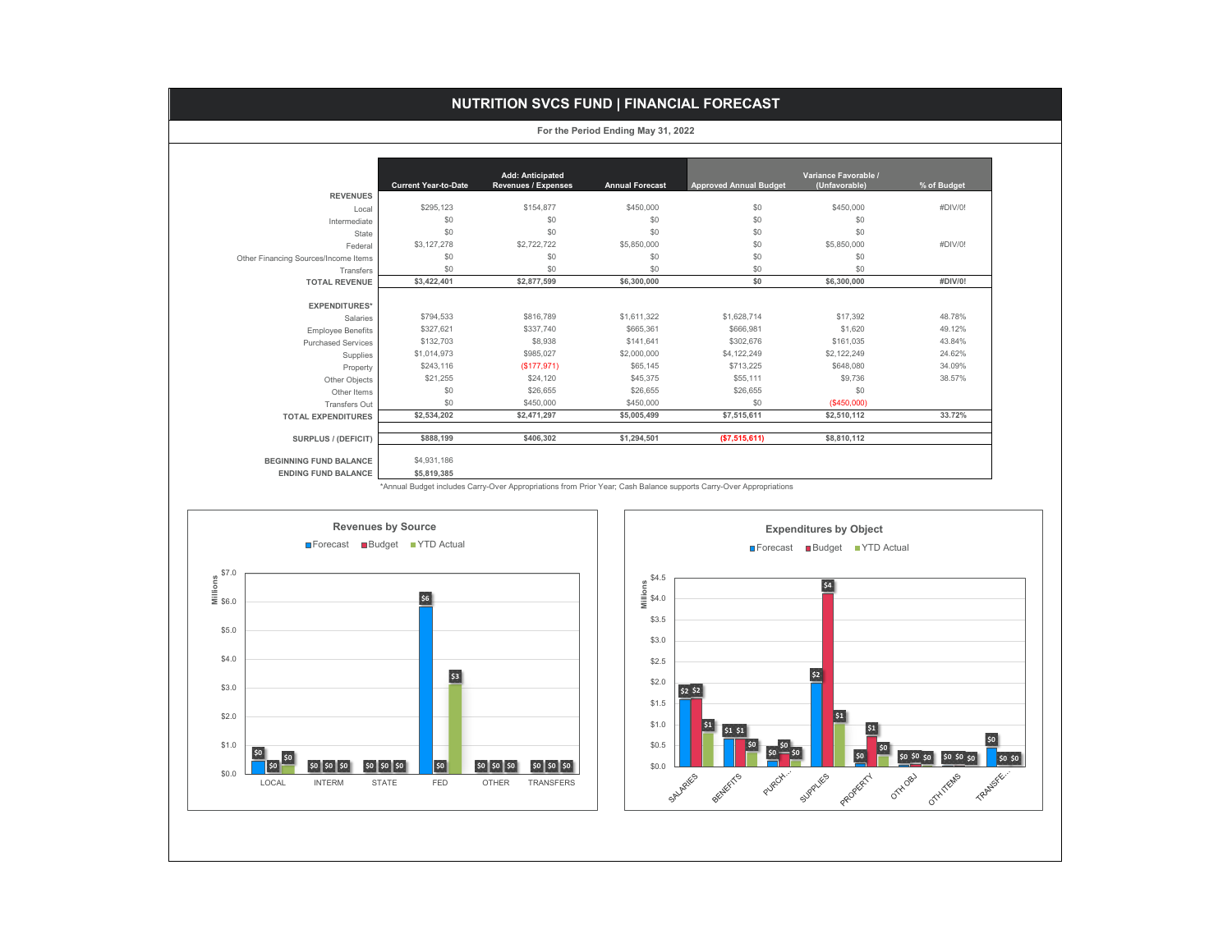| For the Period Ending May 31, 2022   |                      |                                                       |                        |                               |                                       |             |  |  |  |  |
|--------------------------------------|----------------------|-------------------------------------------------------|------------------------|-------------------------------|---------------------------------------|-------------|--|--|--|--|
|                                      | Current Year-to-Date | <b>Add: Anticipated</b><br><b>Revenues / Expenses</b> | <b>Annual Forecast</b> | <b>Approved Annual Budget</b> | Variance Favorable /<br>(Unfavorable) | % of Budget |  |  |  |  |
| <b>REVENUES</b>                      |                      |                                                       |                        |                               |                                       |             |  |  |  |  |
| Local                                | \$295,123            | \$154,877                                             | \$450,000              | \$0                           | \$450,000                             | #DIV/0!     |  |  |  |  |
| Intermediate                         | \$0                  | \$0                                                   | \$0                    | \$0                           | \$0                                   |             |  |  |  |  |
| State                                | \$0                  | \$0                                                   | \$0                    | \$0                           | \$0                                   |             |  |  |  |  |
| Federal                              | \$3,127,278          | \$2,722,722                                           | \$5,850,000            | \$0                           | \$5,850,000                           | #DIV/0!     |  |  |  |  |
| Other Financing Sources/Income Items | \$0                  | \$0                                                   | \$0                    | \$0                           | \$0                                   |             |  |  |  |  |
| Transfers                            | \$0                  | \$0                                                   | \$0                    | \$0                           | \$0                                   |             |  |  |  |  |
| <b>TOTAL REVENUE</b>                 | \$3,422,401          | \$2,877,599                                           | \$6,300,000            | \$0                           | \$6,300,000                           | #DIV/0!     |  |  |  |  |
| <b>EXPENDITURES*</b>                 |                      |                                                       |                        |                               |                                       |             |  |  |  |  |
| Salaries                             | \$794,533            | \$816,789                                             | \$1,611,322            | \$1,628,714                   | \$17,392                              | 48.78%      |  |  |  |  |
| <b>Employee Benefits</b>             | \$327,621            | \$337,740                                             | \$665.361              | \$666,981                     | \$1,620                               | 49.12%      |  |  |  |  |
| <b>Purchased Services</b>            | \$132,703            | \$8,938                                               | \$141.641              | \$302.676                     | \$161.035                             | 43.84%      |  |  |  |  |
| Supplies                             | \$1,014,973          | \$985,027                                             | \$2,000,000            | \$4,122,249                   | \$2,122,249                           | 24.62%      |  |  |  |  |
| Property                             | \$243,116            | (\$177,971)                                           | \$65,145               | \$713.225                     | \$648,080                             | 34.09%      |  |  |  |  |
| Other Objects                        | \$21,255             | \$24,120                                              | \$45,375               | \$55,111                      | \$9,736                               | 38.57%      |  |  |  |  |
| Other Items                          | \$0                  | \$26,655                                              | \$26,655               | \$26,655                      | \$0                                   |             |  |  |  |  |
| <b>Transfers Out</b>                 | \$0                  | \$450,000                                             | \$450,000              | \$0                           | (\$450,000)                           |             |  |  |  |  |
| <b>TOTAL EXPENDITURES</b>            | \$2,534,202          | \$2,471,297                                           | \$5,005,499            | \$7,515,611                   | \$2,510,112                           | 33.72%      |  |  |  |  |
| SURPLUS / (DEFICIT)                  | \$888,199            | \$406,302                                             | \$1,294,501            | (\$7,515,611)                 | \$8,810,112                           |             |  |  |  |  |
| <b>BEGINNING FUND BALANCE</b>        | \$4,931,186          |                                                       |                        |                               |                                       |             |  |  |  |  |
| <b>ENDING FUND BALANCE</b>           | \$5,819,385          |                                                       |                        |                               |                                       |             |  |  |  |  |



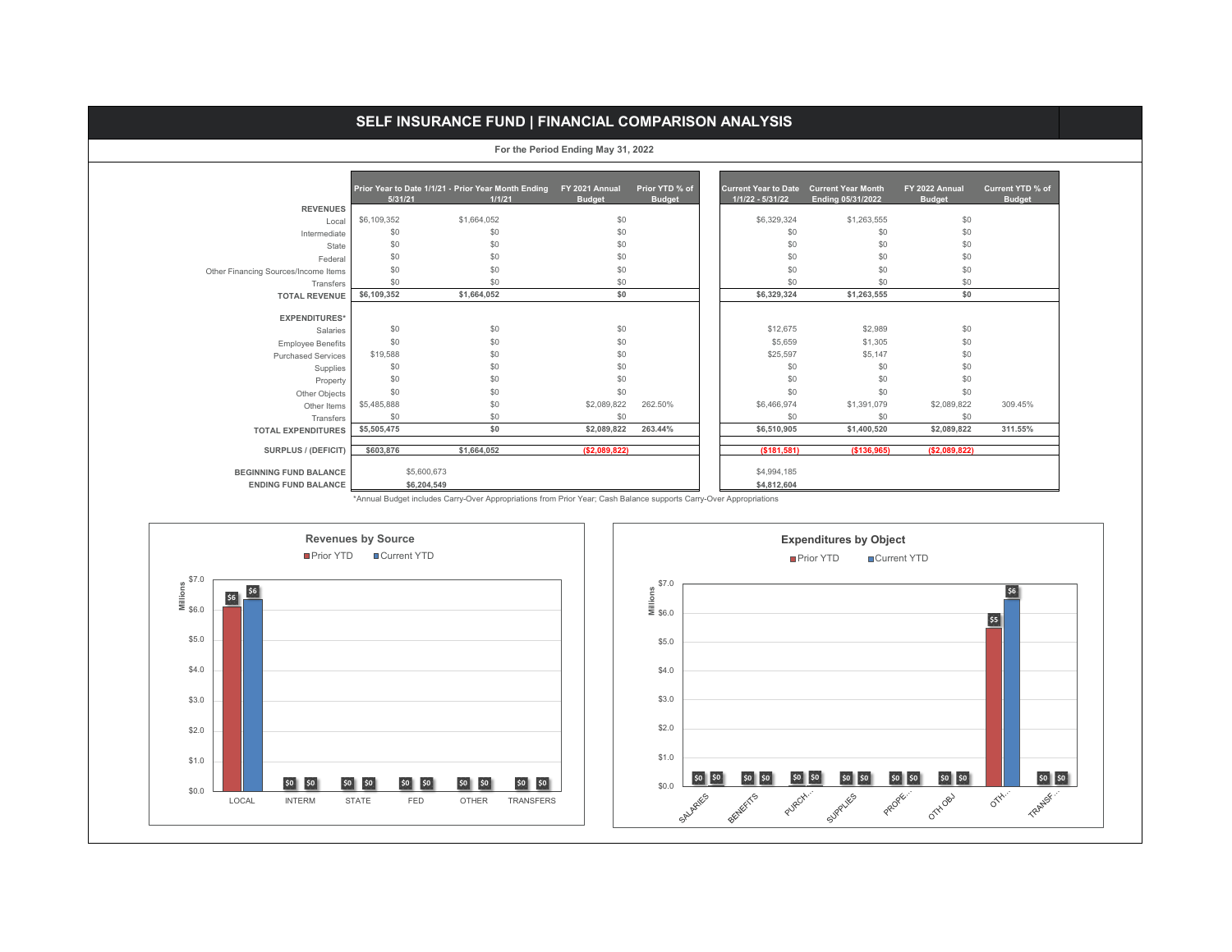## **SELF INSURANCE FUND | FINANCIAL COMPARISON ANALYSIS**

**For the Period Ending May 31, 2022**

|                                      | 5/31/21     | Prior Year to Date 1/1/21 - Prior Year Month Ending<br>1/1/21 | FY 2021 Annual<br><b>Budget</b> | Prior YTD % of<br><b>Budget</b> | <b>Current Year to Date</b><br>1/1/22 - 5/31/22 | <b>Current Year Month</b><br>Ending 05/31/2022 | FY 2022 Annual<br><b>Budget</b> | Current YTD % of<br><b>Budget</b> |
|--------------------------------------|-------------|---------------------------------------------------------------|---------------------------------|---------------------------------|-------------------------------------------------|------------------------------------------------|---------------------------------|-----------------------------------|
| <b>REVENUES</b>                      |             |                                                               |                                 |                                 |                                                 |                                                |                                 |                                   |
| Local                                | \$6,109,352 | \$1,664,052                                                   | \$0                             |                                 | \$6,329,324                                     | \$1,263,555                                    | \$0                             |                                   |
| Intermediate                         | \$0         | \$0                                                           | \$0                             |                                 | \$0                                             | \$0                                            | \$0                             |                                   |
| State                                | \$0         | \$0                                                           | \$0                             |                                 | \$0                                             | \$0                                            | \$0                             |                                   |
| Federal                              | \$0         | \$0                                                           | \$0                             |                                 | \$0                                             | \$0                                            | \$0                             |                                   |
| Other Financing Sources/Income Items | \$0         | \$0                                                           | \$0                             |                                 | \$0                                             | \$0                                            | \$0                             |                                   |
| Transfers                            | \$0         | \$0                                                           | \$0                             |                                 | \$0                                             | \$0                                            | \$0                             |                                   |
| <b>TOTAL REVENUE</b>                 | \$6,109,352 | \$1,664,052                                                   | \$0                             |                                 | \$6,329,324                                     | \$1,263,555                                    | \$0                             |                                   |
|                                      |             |                                                               |                                 |                                 |                                                 |                                                |                                 |                                   |
| <b>EXPENDITURES*</b>                 |             |                                                               |                                 |                                 |                                                 |                                                |                                 |                                   |
| Salaries                             | \$0         | \$0                                                           | \$0                             |                                 | \$12,675                                        | \$2,989                                        | \$0                             |                                   |
| <b>Employee Benefits</b>             | \$0         | \$0                                                           | \$0                             |                                 | \$5,659                                         | \$1,305                                        | \$0                             |                                   |
| <b>Purchased Services</b>            | \$19,588    | \$0                                                           | \$0                             |                                 | \$25,597                                        | \$5,147                                        | \$0                             |                                   |
| Supplies                             | \$0         | \$0                                                           | \$0                             |                                 | \$0                                             | \$0                                            | \$0                             |                                   |
| Property                             | \$0         | \$0                                                           | \$0                             |                                 | \$0                                             | \$0                                            | \$0                             |                                   |
| Other Objects                        | \$0         | \$0                                                           | \$0                             |                                 | \$0                                             | \$0                                            | \$0                             |                                   |
| Other Items                          | \$5,485,888 | \$0                                                           | \$2,089,822                     | 262.50%                         | \$6,466,974                                     | \$1,391,079                                    | \$2,089,822                     | 309.45%                           |
| Transfers                            | \$0         | \$0                                                           | \$0                             |                                 | \$0                                             | \$0                                            | \$0                             |                                   |
| <b>TOTAL EXPENDITURES</b>            | \$5,505,475 | \$0                                                           | \$2,089,822                     | 263.44%                         | \$6,510,905                                     | \$1,400,520                                    | \$2,089,822                     | 311.55%                           |
| SURPLUS / (DEFICIT)                  | \$603,876   | \$1,664,052                                                   | ( \$2,089,822)                  |                                 | (\$181,581)                                     | (\$136,965)                                    | (\$2,089,822)                   |                                   |
| <b>BEGINNING FUND BALANCE</b>        | \$5,600,673 |                                                               |                                 |                                 | \$4,994,185                                     |                                                |                                 |                                   |
| <b>ENDING FUND BALANCE</b>           | \$6,204,549 |                                                               |                                 |                                 | \$4,812,604                                     |                                                |                                 |                                   |



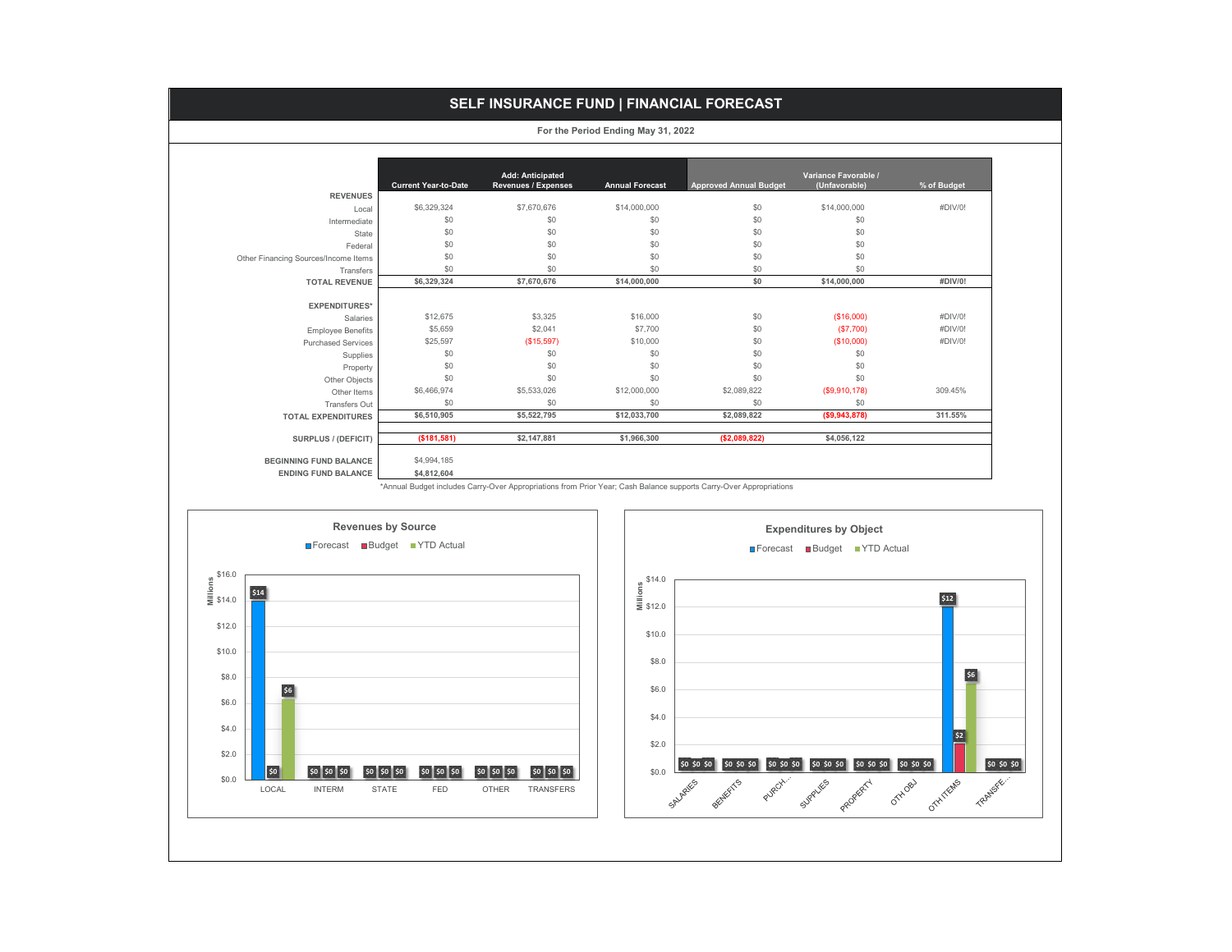| For the Period Ending May 31, 2022   |                             |                                                       |                        |                               |                                       |             |  |  |  |  |
|--------------------------------------|-----------------------------|-------------------------------------------------------|------------------------|-------------------------------|---------------------------------------|-------------|--|--|--|--|
| <b>REVENUES</b>                      | <b>Current Year-to-Date</b> | <b>Add: Anticipated</b><br><b>Revenues / Expenses</b> | <b>Annual Forecast</b> | <b>Approved Annual Budget</b> | Variance Favorable /<br>(Unfavorable) | % of Budget |  |  |  |  |
| Local                                | \$6,329,324                 | \$7,670,676                                           | \$14,000,000           | \$0                           | \$14,000,000                          | #DIV/0!     |  |  |  |  |
| Intermediate                         | \$0                         | \$0                                                   | \$0                    | \$0                           | \$0                                   |             |  |  |  |  |
| State                                | \$0                         | \$0                                                   | \$0                    | \$0                           | \$0                                   |             |  |  |  |  |
| Federal                              | \$0                         | \$0                                                   | \$0                    | \$0                           | \$0                                   |             |  |  |  |  |
| Other Financing Sources/Income Items | \$0                         | \$0                                                   | \$0                    | \$0                           | \$0                                   |             |  |  |  |  |
| Transfers                            | \$0                         | \$0                                                   | \$0                    | \$0                           | \$0                                   |             |  |  |  |  |
| <b>TOTAL REVENUE</b>                 | \$6,329,324                 | \$7,670,676                                           | \$14,000,000           | \$0                           | \$14,000,000                          | #DIV/0!     |  |  |  |  |
| <b>EXPENDITURES*</b>                 |                             |                                                       |                        |                               |                                       |             |  |  |  |  |
| Salaries                             | \$12,675                    | \$3,325                                               | \$16,000               | \$0                           | (\$16,000)                            | #DIV/0!     |  |  |  |  |
| <b>Employee Benefits</b>             | \$5,659                     | \$2,041                                               | \$7,700                | \$0                           | (S7,700)                              | #DIV/0!     |  |  |  |  |
| <b>Purchased Services</b>            | \$25,597                    | (\$15,597)                                            | \$10,000               | \$0                           | (\$10,000)                            | #DIV/0!     |  |  |  |  |
| Supplies                             | \$0                         | \$0                                                   | \$0                    | \$0                           | \$0                                   |             |  |  |  |  |
| Property                             | \$0                         | \$0                                                   | \$0                    | \$0                           | \$0                                   |             |  |  |  |  |
| Other Objects                        | \$0                         | \$0                                                   | \$0                    | \$0                           | \$0                                   |             |  |  |  |  |
| Other Items                          | \$6,466,974                 | \$5,533,026                                           | \$12,000,000           | \$2,089,822                   | (S9,910,178)                          | 309.45%     |  |  |  |  |
| <b>Transfers Out</b>                 | \$0                         | \$0                                                   | \$0                    | \$0                           | \$0                                   |             |  |  |  |  |
| <b>TOTAL EXPENDITURES</b>            | \$6,510,905                 | \$5,522,795                                           | \$12,033,700           | \$2,089,822                   | ( \$9,943,878)                        | 311.55%     |  |  |  |  |
| SURPLUS / (DEFICIT)                  | (\$181,581)                 | \$2,147,881                                           | \$1,966,300            | ( \$2,089,822)                | \$4,056,122                           |             |  |  |  |  |
| <b>BEGINNING FUND BALANCE</b>        | \$4,994,185                 |                                                       |                        |                               |                                       |             |  |  |  |  |
| <b>ENDING FUND BALANCE</b>           | \$4,812,604                 |                                                       |                        |                               |                                       |             |  |  |  |  |

\*Annual Budget includes Carry-Over Appropriations from Prior Year; Cash Balance supports Carry-Over Appropriations

**\$12** 

**\$2** 

**\$0** 

**\$6** 

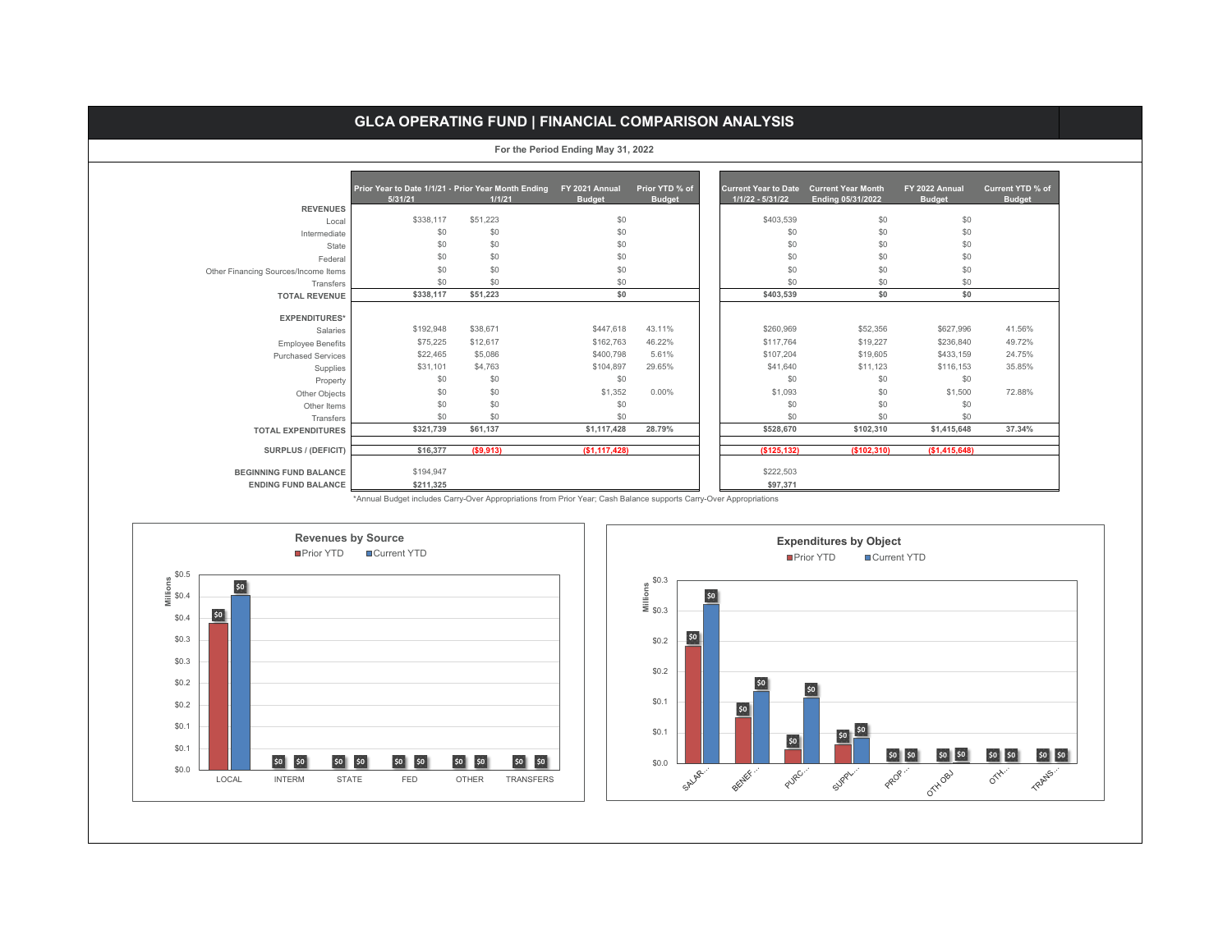## **GLCA OPERATING FUND | FINANCIAL COMPARISON ANALYSIS**

**For the Period Ending May 31, 2022**

|                                      | 5/31/21   | Prior Year to Date 1/1/21 - Prior Year Month Ending<br>1/1/21 | FY 2021 Annual<br><b>Budget</b> | Prior YTD % of<br><b>Budget</b> | <b>Current Year to Date</b><br>$1/1/22 - 5/31/22$ | <b>Current Year Month</b><br>Ending 05/31/2022 | FY 2022 Annual<br><b>Budget</b> | <b>Current YTD % of</b><br><b>Budget</b> |
|--------------------------------------|-----------|---------------------------------------------------------------|---------------------------------|---------------------------------|---------------------------------------------------|------------------------------------------------|---------------------------------|------------------------------------------|
| <b>REVENUES</b>                      |           |                                                               |                                 |                                 |                                                   |                                                |                                 |                                          |
| Local                                | \$338,117 | \$51,223                                                      | \$0                             |                                 | \$403,539                                         | \$0                                            | \$0                             |                                          |
| Intermediate                         | \$0       | \$0                                                           | \$0                             |                                 | \$0                                               | \$0                                            | \$0                             |                                          |
| State                                | \$0       | \$0                                                           | \$0                             |                                 | \$0                                               | \$0                                            | \$0                             |                                          |
| Federal                              | \$0       | \$0                                                           | \$0                             |                                 | \$0                                               | \$0                                            | \$0                             |                                          |
| Other Financing Sources/Income Items | \$0       | \$0                                                           | \$0                             |                                 | \$0                                               | \$0                                            | \$0                             |                                          |
| Transfers                            | \$0       | \$0                                                           | \$0                             |                                 | \$0                                               | \$0                                            | \$0                             |                                          |
| <b>TOTAL REVENUE</b>                 | \$338,117 | \$51,223                                                      | \$0                             |                                 | \$403,539                                         | \$0                                            | \$0                             |                                          |
|                                      |           |                                                               |                                 |                                 |                                                   |                                                |                                 |                                          |
| <b>EXPENDITURES*</b>                 |           |                                                               |                                 |                                 |                                                   |                                                |                                 |                                          |
| Salaries                             | \$192,948 | \$38,671                                                      | \$447,618                       | 43.11%                          | \$260,969                                         | \$52,356                                       | \$627,996                       | 41.56%                                   |
| <b>Employee Benefits</b>             | \$75,225  | \$12,617                                                      | \$162,763                       | 46.22%                          | \$117,764                                         | \$19,227                                       | \$236,840                       | 49.72%                                   |
| <b>Purchased Services</b>            | \$22.465  | \$5,086                                                       | \$400,798                       | 5.61%                           | \$107,204                                         | \$19,605                                       | \$433,159                       | 24.75%                                   |
| Supplies                             | \$31,101  | \$4,763                                                       | \$104,897                       | 29.65%                          | \$41,640                                          | \$11,123                                       | \$116,153                       | 35.85%                                   |
| Property                             | \$0       | \$0                                                           | \$0                             |                                 | \$0                                               | \$0                                            | \$0                             |                                          |
| Other Objects                        | \$0       | \$0                                                           | \$1,352                         | $0.00\%$                        | \$1,093                                           | \$0                                            | \$1,500                         | 72.88%                                   |
| Other Items                          | \$0       | \$0                                                           | \$0                             |                                 | \$0                                               | \$0                                            | \$0                             |                                          |
| Transfers                            | \$0       | \$0                                                           | \$0                             |                                 | \$0                                               | \$0                                            | \$0                             |                                          |
| <b>TOTAL EXPENDITURES</b>            | \$321,739 | \$61,137                                                      | \$1,117,428                     | 28.79%                          | \$528,670                                         | \$102,310                                      | \$1,415,648                     | 37.34%                                   |
| SURPLUS / (DEFICIT)                  | \$16,377  | ( \$9, 913)                                                   | (\$1,117,428)                   |                                 | (\$125,132)                                       | (\$102,310)                                    | (\$1,415,648)                   |                                          |
| <b>BEGINNING FUND BALANCE</b>        | \$194,947 |                                                               |                                 |                                 | \$222,503                                         |                                                |                                 |                                          |
| <b>ENDING FUND BALANCE</b>           | \$211.325 |                                                               |                                 |                                 | \$97,371                                          |                                                |                                 |                                          |